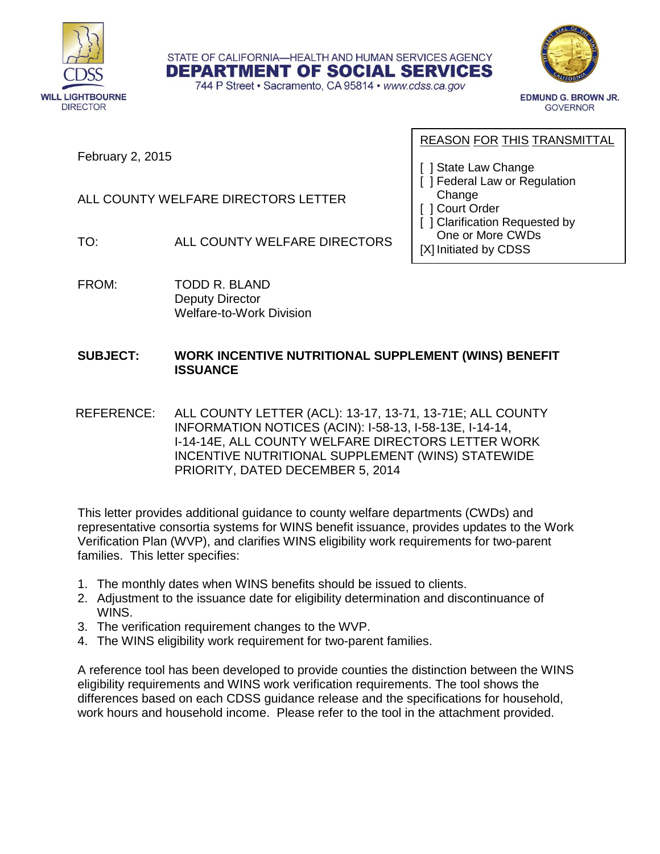

STATE OF CALIFORNIA-HEALTH AND HUMAN SERVICES AGENCY **DEPARTMENT OF SOCIAL SERVICES** 

744 P Street · Sacramento, CA 95814 · www.cdss.ca.gov



**EDMUND G. BROWN JR. GOVERNOR** 

February 2, 2015

#### REASON FOR THIS TRANSMITTAL

[ ] State Law Change

- [ ] Federal Law or Regulation Change
- [ ] Court Order
- [ ] Clarification Requested by One or More CWDs

[X] Initiated by CDSS

TO: ALL COUNTY WELFARE DIRECTORS

ALL COUNTY WELFARE DIRECTORS LETTER

FROM: TODD R. BLAND Deputy Director Welfare-to-Work Division

#### **SUBJECT: WORK INCENTIVE NUTRITIONAL SUPPLEMENT (WINS) BENEFIT ISSUANCE**

 REFERENCE: ALL COUNTY LETTER (ACL): 13-17, 13-71, 13-71E; ALL COUNTY INFORMATION NOTICES (ACIN): I-58-13, I-58-13E, I-14-14, I-14-14E, ALL COUNTY WELFARE DIRECTORS LETTER WORK INCENTIVE NUTRITIONAL SUPPLEMENT (WINS) STATEWIDE PRIORITY, DATED DECEMBER 5, 2014

This letter provides additional guidance to county welfare departments (CWDs) and representative consortia systems for WINS benefit issuance, provides updates to the Work Verification Plan (WVP), and clarifies WINS eligibility work requirements for two-parent families. This letter specifies:

- 1. The monthly dates when WINS benefits should be issued to clients.
- 2. Adjustment to the issuance date for eligibility determination and discontinuance of WINS.
- 3. The verification requirement changes to the WVP.
- 4. The WINS eligibility work requirement for two-parent families.

A reference tool has been developed to provide counties the distinction between the WINS eligibility requirements and WINS work verification requirements. The tool shows the differences based on each CDSS guidance release and the specifications for household, work hours and household income. Please refer to the tool in the attachment provided.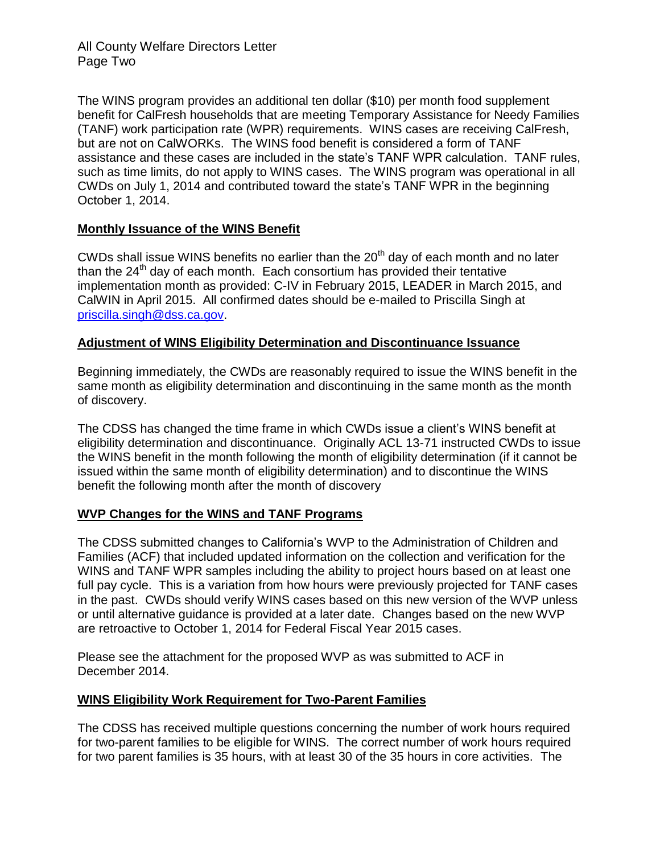All County Welfare Directors Letter Page Two

The WINS program provides an additional ten dollar (\$10) per month food supplement benefit for CalFresh households that are meeting Temporary Assistance for Needy Families (TANF) work participation rate (WPR) requirements. WINS cases are receiving CalFresh, but are not on CalWORKs. The WINS food benefit is considered a form of TANF assistance and these cases are included in the state's TANF WPR calculation. TANF rules, such as time limits, do not apply to WINS cases. The WINS program was operational in all CWDs on July 1, 2014 and contributed toward the state's TANF WPR in the beginning October 1, 2014.

#### **Monthly Issuance of the WINS Benefit**

CWDs shall issue WINS benefits no earlier than the  $20<sup>th</sup>$  day of each month and no later than the  $24<sup>th</sup>$  day of each month. Each consortium has provided their tentative implementation month as provided: C-IV in February 2015, LEADER in March 2015, and CalWIN in April 2015. All confirmed dates should be e-mailed to Priscilla Singh at [priscilla.singh@dss.ca.gov.](mailto:priscilla.singh@dss.ca.gov)

#### **Adjustment of WINS Eligibility Determination and Discontinuance Issuance**

Beginning immediately, the CWDs are reasonably required to issue the WINS benefit in the same month as eligibility determination and discontinuing in the same month as the month of discovery.

The CDSS has changed the time frame in which CWDs issue a client's WINS benefit at eligibility determination and discontinuance. Originally ACL 13-71 instructed CWDs to issue the WINS benefit in the month following the month of eligibility determination (if it cannot be issued within the same month of eligibility determination) and to discontinue the WINS benefit the following month after the month of discovery

#### **WVP Changes for the WINS and TANF Programs**

The CDSS submitted changes to California's WVP to the Administration of Children and Families (ACF) that included updated information on the collection and verification for the WINS and TANF WPR samples including the ability to project hours based on at least one full pay cycle. This is a variation from how hours were previously projected for TANF cases in the past. CWDs should verify WINS cases based on this new version of the WVP unless or until alternative guidance is provided at a later date. Changes based on the new WVP are retroactive to October 1, 2014 for Federal Fiscal Year 2015 cases.

Please see the attachment for the proposed WVP as was submitted to ACF in December 2014.

#### **WINS Eligibility Work Requirement for Two-Parent Families**

The CDSS has received multiple questions concerning the number of work hours required for two-parent families to be eligible for WINS. The correct number of work hours required for two parent families is 35 hours, with at least 30 of the 35 hours in core activities. The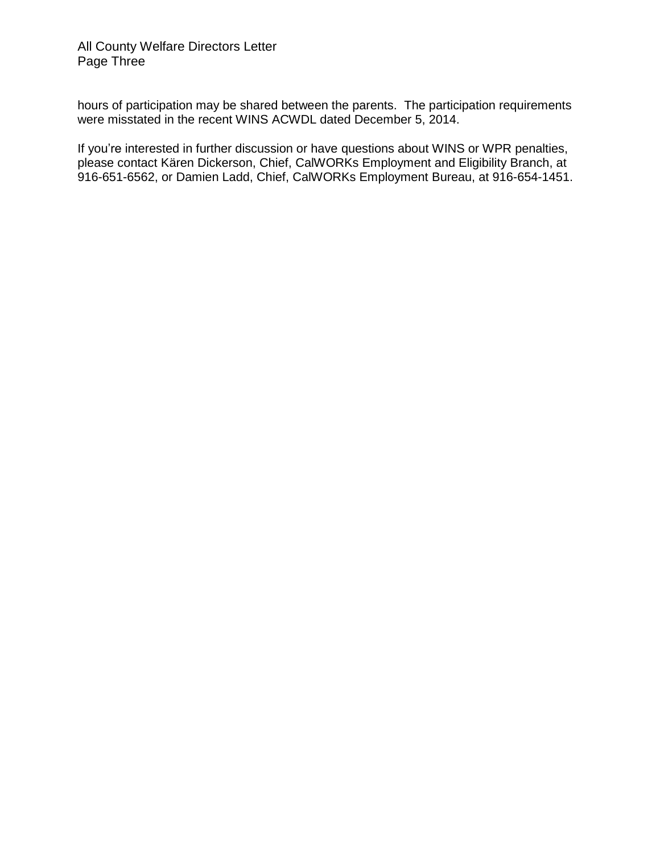hours of participation may be shared between the parents. The participation requirements were misstated in the recent WINS ACWDL dated December 5, 2014.

If you're interested in further discussion or have questions about WINS or WPR penalties, please contact Kären Dickerson, Chief, CalWORKs Employment and Eligibility Branch, at 916-651-6562, or Damien Ladd, Chief, CalWORKs Employment Bureau, at 916-654-1451.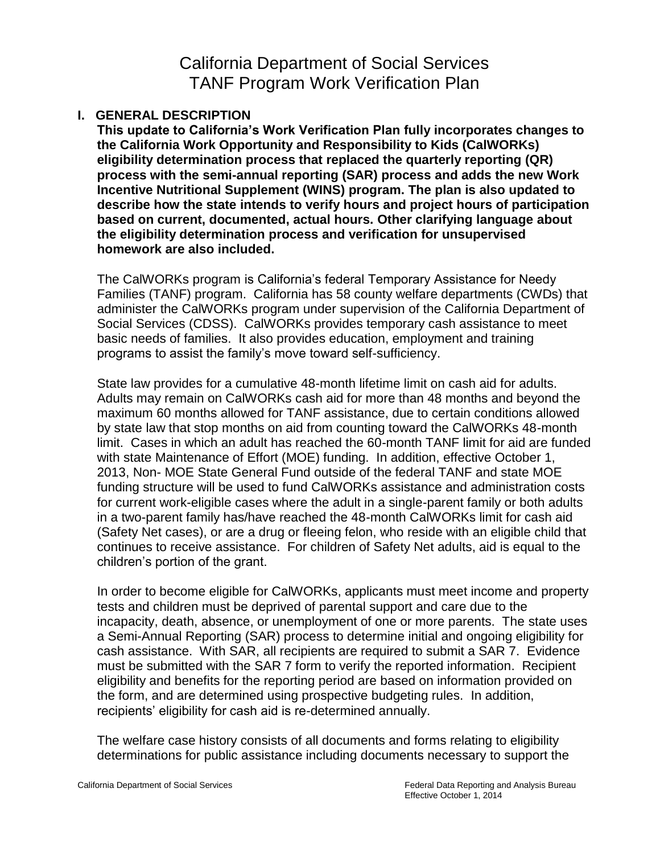# California Department of Social Services TANF Program Work Verification Plan

# **I. GENERAL DESCRIPTION**

**This update to California's Work Verification Plan fully incorporates changes to the California Work Opportunity and Responsibility to Kids (CalWORKs) eligibility determination process that replaced the quarterly reporting (QR) process with the semi-annual reporting (SAR) process and adds the new Work Incentive Nutritional Supplement (WINS) program. The plan is also updated to describe how the state intends to verify hours and project hours of participation based on current, documented, actual hours. Other clarifying language about the eligibility determination process and verification for unsupervised homework are also included.** 

The CalWORKs program is California's federal Temporary Assistance for Needy Families (TANF) program. California has 58 county welfare departments (CWDs) that administer the CalWORKs program under supervision of the California Department of Social Services (CDSS). CalWORKs provides temporary cash assistance to meet basic needs of families. It also provides education, employment and training programs to assist the family's move toward self-sufficiency.

State law provides for a cumulative 48-month lifetime limit on cash aid for adults. Adults may remain on CalWORKs cash aid for more than 48 months and beyond the maximum 60 months allowed for TANF assistance, due to certain conditions allowed by state law that stop months on aid from counting toward the CalWORKs 48-month limit. Cases in which an adult has reached the 60-month TANF limit for aid are funded with state Maintenance of Effort (MOE) funding. In addition, effective October 1, 2013, Non- MOE State General Fund outside of the federal TANF and state MOE funding structure will be used to fund CalWORKs assistance and administration costs for current work-eligible cases where the adult in a single-parent family or both adults in a two-parent family has/have reached the 48-month CalWORKs limit for cash aid (Safety Net cases), or are a drug or fleeing felon, who reside with an eligible child that continues to receive assistance. For children of Safety Net adults, aid is equal to the children's portion of the grant.

In order to become eligible for CalWORKs, applicants must meet income and property tests and children must be deprived of parental support and care due to the incapacity, death, absence, or unemployment of one or more parents. The state uses a Semi-Annual Reporting (SAR) process to determine initial and ongoing eligibility for cash assistance. With SAR, all recipients are required to submit a SAR 7. Evidence must be submitted with the SAR 7 form to verify the reported information. Recipient eligibility and benefits for the reporting period are based on information provided on the form, and are determined using prospective budgeting rules. In addition, recipients' eligibility for cash aid is re-determined annually.

The welfare case history consists of all documents and forms relating to eligibility determinations for public assistance including documents necessary to support the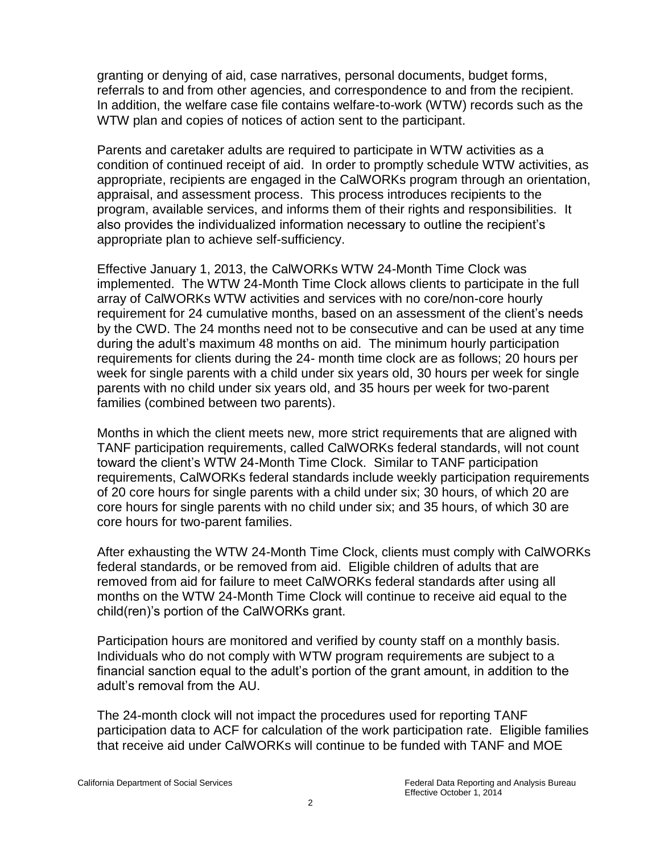granting or denying of aid, case narratives, personal documents, budget forms, referrals to and from other agencies, and correspondence to and from the recipient. In addition, the welfare case file contains welfare-to-work (WTW) records such as the WTW plan and copies of notices of action sent to the participant.

Parents and caretaker adults are required to participate in WTW activities as a condition of continued receipt of aid. In order to promptly schedule WTW activities, as appropriate, recipients are engaged in the CalWORKs program through an orientation, appraisal, and assessment process. This process introduces recipients to the program, available services, and informs them of their rights and responsibilities. It also provides the individualized information necessary to outline the recipient's appropriate plan to achieve self-sufficiency.

Effective January 1, 2013, the CalWORKs WTW 24-Month Time Clock was implemented. The WTW 24-Month Time Clock allows clients to participate in the full array of CalWORKs WTW activities and services with no core/non-core hourly requirement for 24 cumulative months, based on an assessment of the client's needs by the CWD. The 24 months need not to be consecutive and can be used at any time during the adult's maximum 48 months on aid. The minimum hourly participation requirements for clients during the 24- month time clock are as follows; 20 hours per week for single parents with a child under six years old, 30 hours per week for single parents with no child under six years old, and 35 hours per week for two-parent families (combined between two parents).

Months in which the client meets new, more strict requirements that are aligned with TANF participation requirements, called CalWORKs federal standards, will not count toward the client's WTW 24-Month Time Clock. Similar to TANF participation requirements, CalWORKs federal standards include weekly participation requirements of 20 core hours for single parents with a child under six; 30 hours, of which 20 are core hours for single parents with no child under six; and 35 hours, of which 30 are core hours for two-parent families.

After exhausting the WTW 24-Month Time Clock, clients must comply with CalWORKs federal standards, or be removed from aid. Eligible children of adults that are removed from aid for failure to meet CalWORKs federal standards after using all months on the WTW 24-Month Time Clock will continue to receive aid equal to the child(ren)'s portion of the CalWORKs grant.

Participation hours are monitored and verified by county staff on a monthly basis. Individuals who do not comply with WTW program requirements are subject to a financial sanction equal to the adult's portion of the grant amount, in addition to the adult's removal from the AU.

The 24-month clock will not impact the procedures used for reporting TANF participation data to ACF for calculation of the work participation rate. Eligible families that receive aid under CalWORKs will continue to be funded with TANF and MOE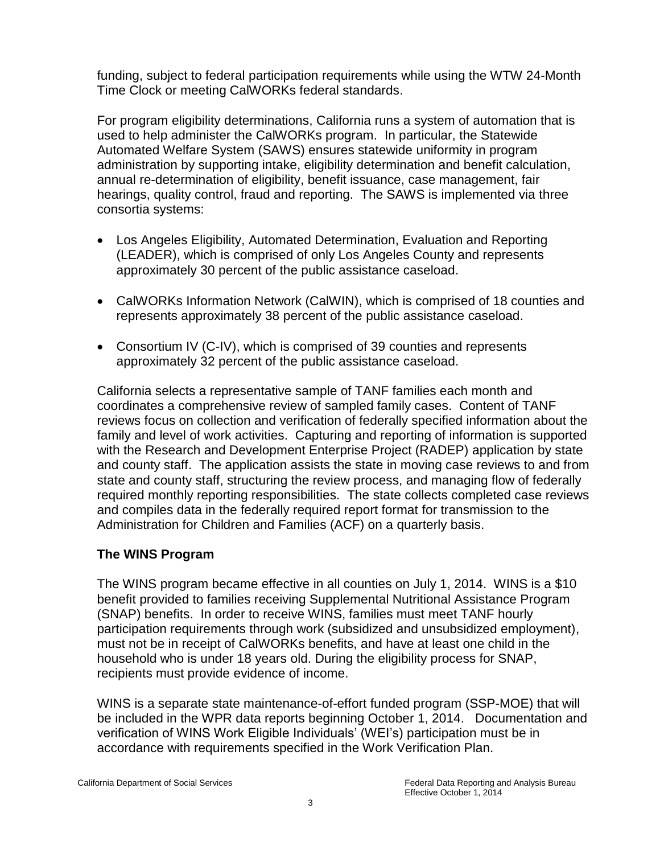funding, subject to federal participation requirements while using the WTW 24-Month Time Clock or meeting CalWORKs federal standards.

For program eligibility determinations, California runs a system of automation that is used to help administer the CalWORKs program. In particular, the Statewide Automated Welfare System (SAWS) ensures statewide uniformity in program administration by supporting intake, eligibility determination and benefit calculation, annual re-determination of eligibility, benefit issuance, case management, fair hearings, quality control, fraud and reporting. The SAWS is implemented via three consortia systems:

- Los Angeles Eligibility, Automated Determination, Evaluation and Reporting (LEADER), which is comprised of only Los Angeles County and represents approximately 30 percent of the public assistance caseload.
- CalWORKs Information Network (CalWIN), which is comprised of 18 counties and represents approximately 38 percent of the public assistance caseload.
- Consortium IV (C-IV), which is comprised of 39 counties and represents approximately 32 percent of the public assistance caseload.

California selects a representative sample of TANF families each month and coordinates a comprehensive review of sampled family cases. Content of TANF reviews focus on collection and verification of federally specified information about the family and level of work activities. Capturing and reporting of information is supported with the Research and Development Enterprise Project (RADEP) application by state and county staff. The application assists the state in moving case reviews to and from state and county staff, structuring the review process, and managing flow of federally required monthly reporting responsibilities. The state collects completed case reviews and compiles data in the federally required report format for transmission to the Administration for Children and Families (ACF) on a quarterly basis.

# **The WINS Program**

The WINS program became effective in all counties on July 1, 2014. WINS is a \$10 benefit provided to families receiving Supplemental Nutritional Assistance Program (SNAP) benefits. In order to receive WINS, families must meet TANF hourly participation requirements through work (subsidized and unsubsidized employment), must not be in receipt of CalWORKs benefits, and have at least one child in the household who is under 18 years old. During the eligibility process for SNAP, recipients must provide evidence of income.

WINS is a separate state maintenance-of-effort funded program (SSP-MOE) that will be included in the WPR data reports beginning October 1, 2014. Documentation and verification of WINS Work Eligible Individuals' (WEI's) participation must be in accordance with requirements specified in the Work Verification Plan.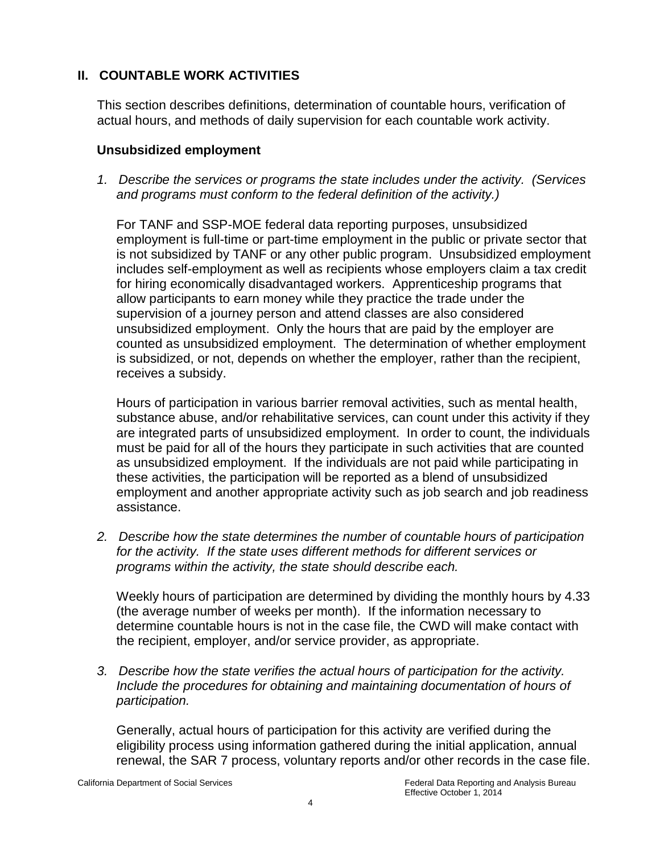# **II. COUNTABLE WORK ACTIVITIES**

This section describes definitions, determination of countable hours, verification of actual hours, and methods of daily supervision for each countable work activity.

# **Unsubsidized employment**

*1. Describe the services or programs the state includes under the activity. (Services and programs must conform to the federal definition of the activity.)*

For TANF and SSP-MOE federal data reporting purposes, unsubsidized employment is full-time or part-time employment in the public or private sector that is not subsidized by TANF or any other public program. Unsubsidized employment includes self-employment as well as recipients whose employers claim a tax credit for hiring economically disadvantaged workers. Apprenticeship programs that allow participants to earn money while they practice the trade under the supervision of a journey person and attend classes are also considered unsubsidized employment. Only the hours that are paid by the employer are counted as unsubsidized employment. The determination of whether employment is subsidized, or not, depends on whether the employer, rather than the recipient, receives a subsidy.

Hours of participation in various barrier removal activities, such as mental health, substance abuse, and/or rehabilitative services, can count under this activity if they are integrated parts of unsubsidized employment. In order to count, the individuals must be paid for all of the hours they participate in such activities that are counted as unsubsidized employment. If the individuals are not paid while participating in these activities, the participation will be reported as a blend of unsubsidized employment and another appropriate activity such as job search and job readiness assistance.

*2. Describe how the state determines the number of countable hours of participation for the activity. If the state uses different methods for different services or programs within the activity, the state should describe each.* 

Weekly hours of participation are determined by dividing the monthly hours by 4.33 (the average number of weeks per month). If the information necessary to determine countable hours is not in the case file, the CWD will make contact with the recipient, employer, and/or service provider, as appropriate.

*3. Describe how the state verifies the actual hours of participation for the activity. Include the procedures for obtaining and maintaining documentation of hours of participation.* 

Generally, actual hours of participation for this activity are verified during the eligibility process using information gathered during the initial application, annual renewal, the SAR 7 process, voluntary reports and/or other records in the case file.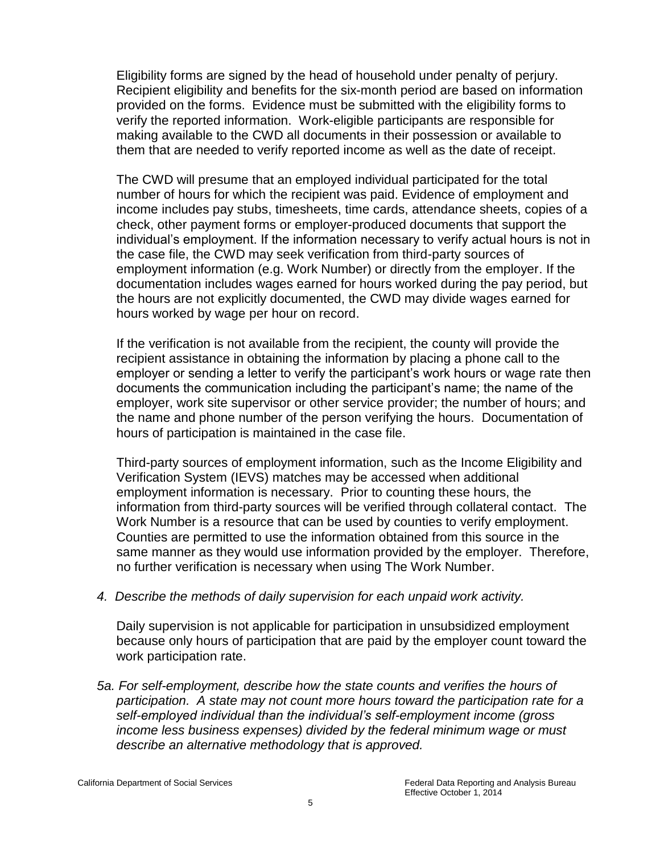Eligibility forms are signed by the head of household under penalty of perjury. Recipient eligibility and benefits for the six-month period are based on information provided on the forms. Evidence must be submitted with the eligibility forms to verify the reported information. Work-eligible participants are responsible for making available to the CWD all documents in their possession or available to them that are needed to verify reported income as well as the date of receipt.

The CWD will presume that an employed individual participated for the total number of hours for which the recipient was paid. Evidence of employment and income includes pay stubs, timesheets, time cards, attendance sheets, copies of a check, other payment forms or employer-produced documents that support the individual's employment. If the information necessary to verify actual hours is not in the case file, the CWD may seek verification from third-party sources of employment information (e.g. Work Number) or directly from the employer. If the documentation includes wages earned for hours worked during the pay period, but the hours are not explicitly documented, the CWD may divide wages earned for hours worked by wage per hour on record.

If the verification is not available from the recipient, the county will provide the recipient assistance in obtaining the information by placing a phone call to the employer or sending a letter to verify the participant's work hours or wage rate then documents the communication including the participant's name; the name of the employer, work site supervisor or other service provider; the number of hours; and the name and phone number of the person verifying the hours. Documentation of hours of participation is maintained in the case file.

Third-party sources of employment information, such as the Income Eligibility and Verification System (IEVS) matches may be accessed when additional employment information is necessary. Prior to counting these hours, the information from third-party sources will be verified through collateral contact. The Work Number is a resource that can be used by counties to verify employment. Counties are permitted to use the information obtained from this source in the same manner as they would use information provided by the employer. Therefore, no further verification is necessary when using The Work Number.

*4. Describe the methods of daily supervision for each unpaid work activity.*

Daily supervision is not applicable for participation in unsubsidized employment because only hours of participation that are paid by the employer count toward the work participation rate.

*5a. For self-employment, describe how the state counts and verifies the hours of participation. A state may not count more hours toward the participation rate for a self-employed individual than the individual's self-employment income (gross income less business expenses) divided by the federal minimum wage or must describe an alternative methodology that is approved.*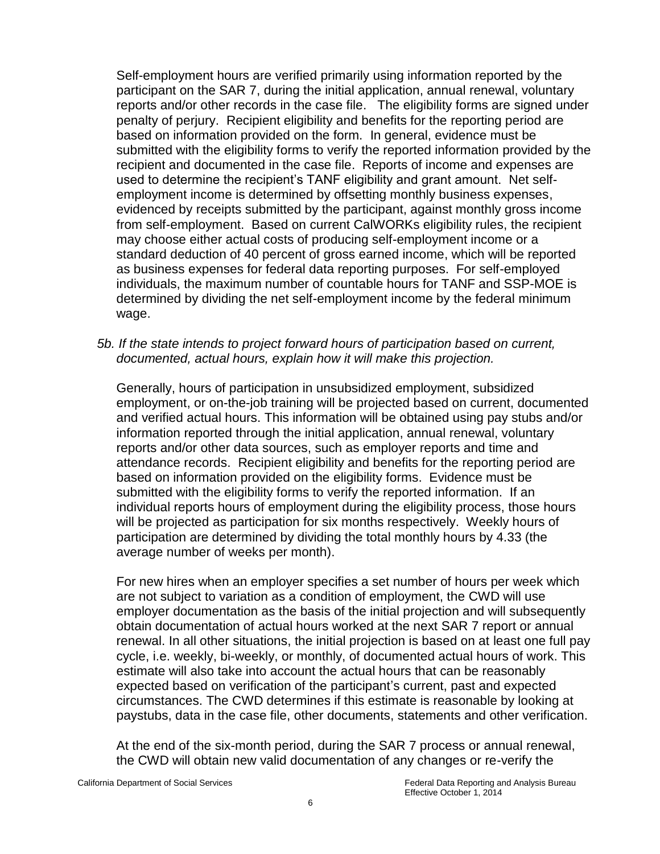Self-employment hours are verified primarily using information reported by the participant on the SAR 7, during the initial application, annual renewal, voluntary reports and/or other records in the case file. The eligibility forms are signed under penalty of perjury. Recipient eligibility and benefits for the reporting period are based on information provided on the form. In general, evidence must be submitted with the eligibility forms to verify the reported information provided by the recipient and documented in the case file. Reports of income and expenses are used to determine the recipient's TANF eligibility and grant amount. Net selfemployment income is determined by offsetting monthly business expenses, evidenced by receipts submitted by the participant, against monthly gross income from self-employment. Based on current CalWORKs eligibility rules, the recipient may choose either actual costs of producing self-employment income or a standard deduction of 40 percent of gross earned income, which will be reported as business expenses for federal data reporting purposes. For self-employed individuals, the maximum number of countable hours for TANF and SSP-MOE is determined by dividing the net self-employment income by the federal minimum wage.

*5b. If the state intends to project forward hours of participation based on current, documented, actual hours, explain how it will make this projection.* 

Generally, hours of participation in unsubsidized employment, subsidized employment, or on-the-job training will be projected based on current, documented and verified actual hours. This information will be obtained using pay stubs and/or information reported through the initial application, annual renewal, voluntary reports and/or other data sources, such as employer reports and time and attendance records. Recipient eligibility and benefits for the reporting period are based on information provided on the eligibility forms. Evidence must be submitted with the eligibility forms to verify the reported information. If an individual reports hours of employment during the eligibility process, those hours will be projected as participation for six months respectively. Weekly hours of participation are determined by dividing the total monthly hours by 4.33 (the average number of weeks per month).

For new hires when an employer specifies a set number of hours per week which are not subject to variation as a condition of employment, the CWD will use employer documentation as the basis of the initial projection and will subsequently obtain documentation of actual hours worked at the next SAR 7 report or annual renewal. In all other situations, the initial projection is based on at least one full pay cycle, i.e. weekly, bi-weekly, or monthly, of documented actual hours of work. This estimate will also take into account the actual hours that can be reasonably expected based on verification of the participant's current, past and expected circumstances. The CWD determines if this estimate is reasonable by looking at paystubs, data in the case file, other documents, statements and other verification.

At the end of the six-month period, during the SAR 7 process or annual renewal, the CWD will obtain new valid documentation of any changes or re-verify the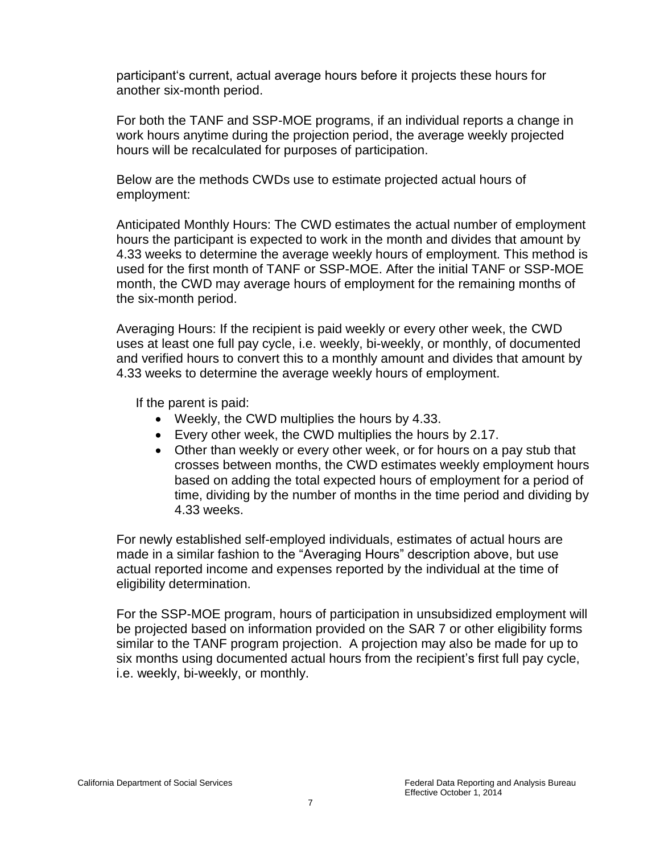participant's current, actual average hours before it projects these hours for another six-month period.

For both the TANF and SSP-MOE programs, if an individual reports a change in work hours anytime during the projection period, the average weekly projected hours will be recalculated for purposes of participation.

Below are the methods CWDs use to estimate projected actual hours of employment:

Anticipated Monthly Hours: The CWD estimates the actual number of employment hours the participant is expected to work in the month and divides that amount by 4.33 weeks to determine the average weekly hours of employment. This method is used for the first month of TANF or SSP-MOE. After the initial TANF or SSP-MOE month, the CWD may average hours of employment for the remaining months of the six-month period.

Averaging Hours: If the recipient is paid weekly or every other week, the CWD uses at least one full pay cycle, i.e. weekly, bi-weekly, or monthly, of documented and verified hours to convert this to a monthly amount and divides that amount by 4.33 weeks to determine the average weekly hours of employment.

If the parent is paid:

- Weekly, the CWD multiplies the hours by 4.33.
- Every other week, the CWD multiplies the hours by 2.17.
- Other than weekly or every other week, or for hours on a pay stub that crosses between months, the CWD estimates weekly employment hours based on adding the total expected hours of employment for a period of time, dividing by the number of months in the time period and dividing by 4.33 weeks.

For newly established self-employed individuals, estimates of actual hours are made in a similar fashion to the "Averaging Hours" description above, but use actual reported income and expenses reported by the individual at the time of eligibility determination.

For the SSP-MOE program, hours of participation in unsubsidized employment will be projected based on information provided on the SAR 7 or other eligibility forms similar to the TANF program projection. A projection may also be made for up to six months using documented actual hours from the recipient's first full pay cycle, i.e. weekly, bi-weekly, or monthly.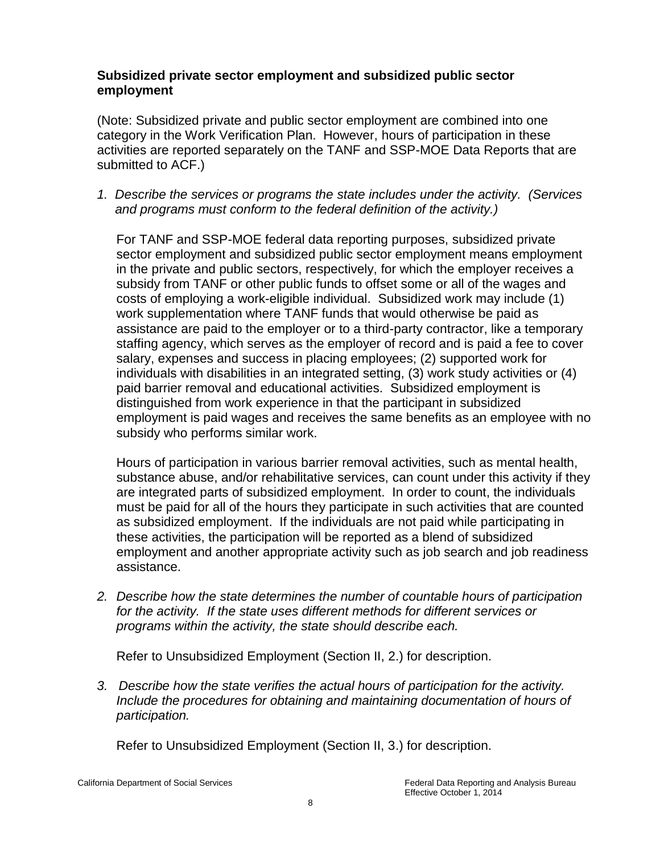#### **Subsidized private sector employment and subsidized public sector employment**

(Note: Subsidized private and public sector employment are combined into one category in the Work Verification Plan. However, hours of participation in these activities are reported separately on the TANF and SSP-MOE Data Reports that are submitted to ACF.)

*1. Describe the services or programs the state includes under the activity. (Services and programs must conform to the federal definition of the activity.)* 

For TANF and SSP-MOE federal data reporting purposes, subsidized private sector employment and subsidized public sector employment means employment in the private and public sectors, respectively, for which the employer receives a subsidy from TANF or other public funds to offset some or all of the wages and costs of employing a work-eligible individual. Subsidized work may include (1) work supplementation where TANF funds that would otherwise be paid as assistance are paid to the employer or to a third-party contractor, like a temporary staffing agency, which serves as the employer of record and is paid a fee to cover salary, expenses and success in placing employees; (2) supported work for individuals with disabilities in an integrated setting, (3) work study activities or (4) paid barrier removal and educational activities. Subsidized employment is distinguished from work experience in that the participant in subsidized employment is paid wages and receives the same benefits as an employee with no subsidy who performs similar work.

Hours of participation in various barrier removal activities, such as mental health, substance abuse, and/or rehabilitative services, can count under this activity if they are integrated parts of subsidized employment. In order to count, the individuals must be paid for all of the hours they participate in such activities that are counted as subsidized employment. If the individuals are not paid while participating in these activities, the participation will be reported as a blend of subsidized employment and another appropriate activity such as job search and job readiness assistance.

*2. Describe how the state determines the number of countable hours of participation for the activity. If the state uses different methods for different services or programs within the activity, the state should describe each.* 

Refer to Unsubsidized Employment (Section II, 2.) for description.

*3. Describe how the state verifies the actual hours of participation for the activity. Include the procedures for obtaining and maintaining documentation of hours of participation.* 

Refer to Unsubsidized Employment (Section II, 3.) for description.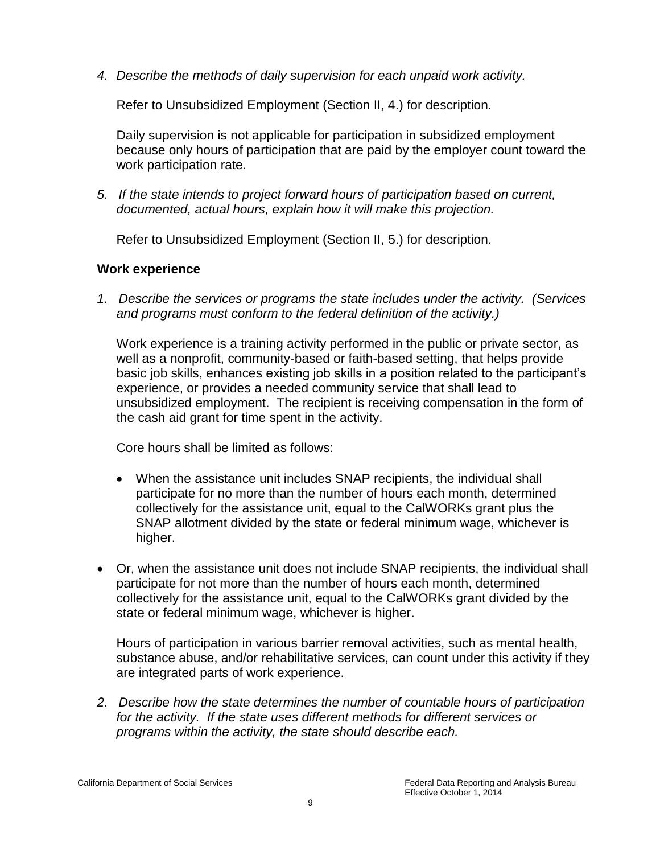*4. Describe the methods of daily supervision for each unpaid work activity.* 

Refer to Unsubsidized Employment (Section II, 4.) for description.

Daily supervision is not applicable for participation in subsidized employment because only hours of participation that are paid by the employer count toward the work participation rate.

*5. If the state intends to project forward hours of participation based on current, documented, actual hours, explain how it will make this projection.* 

Refer to Unsubsidized Employment (Section II, 5.) for description.

# **Work experience**

*1. Describe the services or programs the state includes under the activity. (Services and programs must conform to the federal definition of the activity.)* 

Work experience is a training activity performed in the public or private sector, as well as a nonprofit, community-based or faith-based setting, that helps provide basic job skills, enhances existing job skills in a position related to the participant's experience, or provides a needed community service that shall lead to unsubsidized employment. The recipient is receiving compensation in the form of the cash aid grant for time spent in the activity.

Core hours shall be limited as follows:

- When the assistance unit includes SNAP recipients, the individual shall participate for no more than the number of hours each month, determined collectively for the assistance unit, equal to the CalWORKs grant plus the SNAP allotment divided by the state or federal minimum wage, whichever is higher.
- Or, when the assistance unit does not include SNAP recipients, the individual shall participate for not more than the number of hours each month, determined collectively for the assistance unit, equal to the CalWORKs grant divided by the state or federal minimum wage, whichever is higher.

Hours of participation in various barrier removal activities, such as mental health, substance abuse, and/or rehabilitative services, can count under this activity if they are integrated parts of work experience.

*2. Describe how the state determines the number of countable hours of participation for the activity. If the state uses different methods for different services or programs within the activity, the state should describe each.*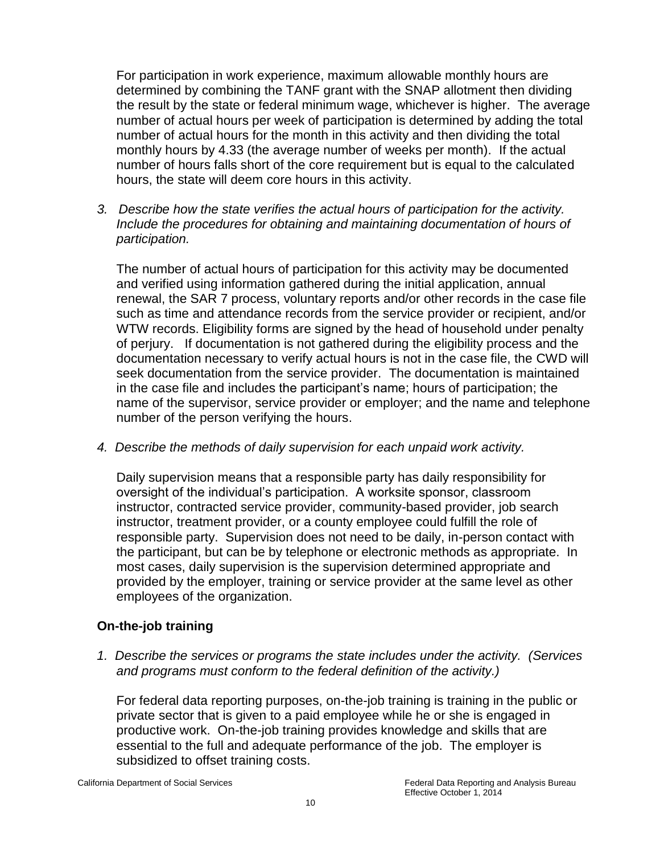For participation in work experience, maximum allowable monthly hours are determined by combining the TANF grant with the SNAP allotment then dividing the result by the state or federal minimum wage, whichever is higher. The average number of actual hours per week of participation is determined by adding the total number of actual hours for the month in this activity and then dividing the total monthly hours by 4.33 (the average number of weeks per month). If the actual number of hours falls short of the core requirement but is equal to the calculated hours, the state will deem core hours in this activity.

*3. Describe how the state verifies the actual hours of participation for the activity. Include the procedures for obtaining and maintaining documentation of hours of participation.* 

The number of actual hours of participation for this activity may be documented and verified using information gathered during the initial application, annual renewal, the SAR 7 process, voluntary reports and/or other records in the case file such as time and attendance records from the service provider or recipient, and/or WTW records. Eligibility forms are signed by the head of household under penalty of perjury. If documentation is not gathered during the eligibility process and the documentation necessary to verify actual hours is not in the case file, the CWD will seek documentation from the service provider. The documentation is maintained in the case file and includes the participant's name; hours of participation; the name of the supervisor, service provider or employer; and the name and telephone number of the person verifying the hours.

*4. Describe the methods of daily supervision for each unpaid work activity.* 

Daily supervision means that a responsible party has daily responsibility for oversight of the individual's participation. A worksite sponsor, classroom instructor, contracted service provider, community-based provider, job search instructor, treatment provider, or a county employee could fulfill the role of responsible party. Supervision does not need to be daily, in-person contact with the participant, but can be by telephone or electronic methods as appropriate. In most cases, daily supervision is the supervision determined appropriate and provided by the employer, training or service provider at the same level as other employees of the organization.

# **On-the-job training**

*1. Describe the services or programs the state includes under the activity. (Services and programs must conform to the federal definition of the activity.)* 

For federal data reporting purposes, on-the-job training is training in the public or private sector that is given to a paid employee while he or she is engaged in productive work. On-the-job training provides knowledge and skills that are essential to the full and adequate performance of the job. The employer is subsidized to offset training costs.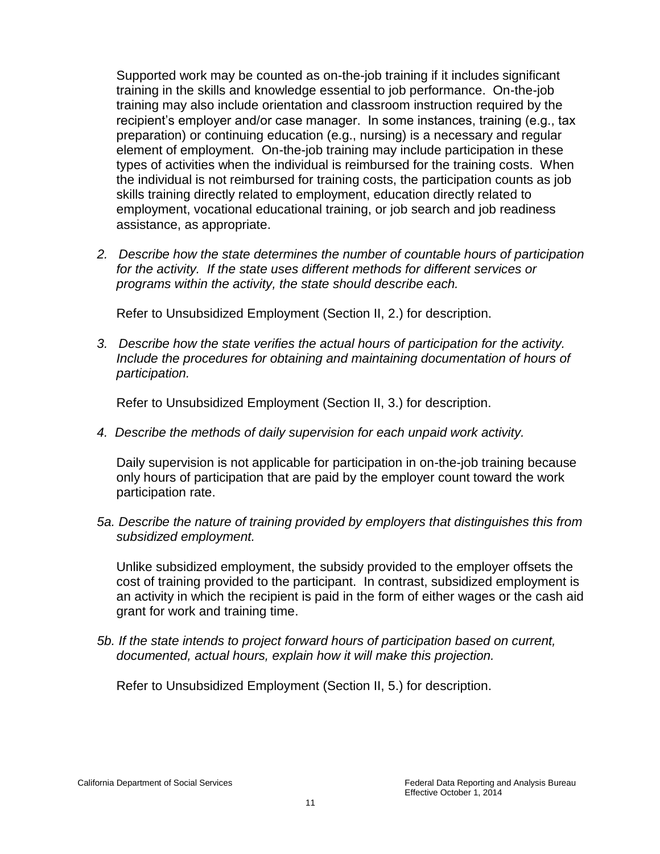Supported work may be counted as on-the-job training if it includes significant training in the skills and knowledge essential to job performance. On-the-job training may also include orientation and classroom instruction required by the recipient's employer and/or case manager. In some instances, training (e.g., tax preparation) or continuing education (e.g., nursing) is a necessary and regular element of employment. On-the-job training may include participation in these types of activities when the individual is reimbursed for the training costs. When the individual is not reimbursed for training costs, the participation counts as job skills training directly related to employment, education directly related to employment, vocational educational training, or job search and job readiness assistance, as appropriate.

*2. Describe how the state determines the number of countable hours of participation for the activity. If the state uses different methods for different services or programs within the activity, the state should describe each.* 

Refer to Unsubsidized Employment (Section II, 2.) for description.

*3. Describe how the state verifies the actual hours of participation for the activity. Include the procedures for obtaining and maintaining documentation of hours of participation.* 

Refer to Unsubsidized Employment (Section II, 3.) for description.

*4. Describe the methods of daily supervision for each unpaid work activity.* 

Daily supervision is not applicable for participation in on-the-job training because only hours of participation that are paid by the employer count toward the work participation rate.

*5a. Describe the nature of training provided by employers that distinguishes this from subsidized employment.* 

Unlike subsidized employment, the subsidy provided to the employer offsets the cost of training provided to the participant. In contrast, subsidized employment is an activity in which the recipient is paid in the form of either wages or the cash aid grant for work and training time.

*5b. If the state intends to project forward hours of participation based on current, documented, actual hours, explain how it will make this projection.* 

Refer to Unsubsidized Employment (Section II, 5.) for description.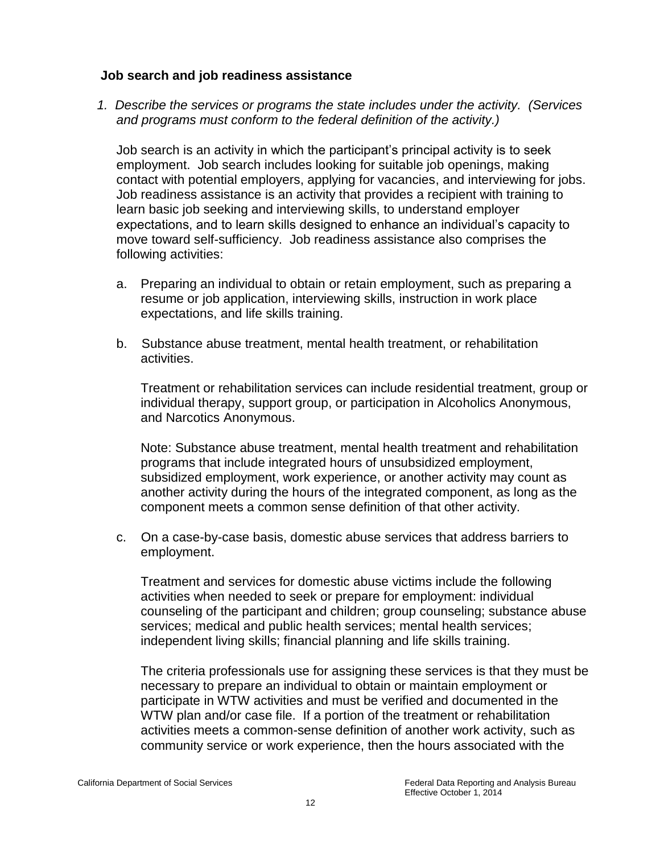#### **Job search and job readiness assistance**

*1. Describe the services or programs the state includes under the activity. (Services and programs must conform to the federal definition of the activity.)* 

Job search is an activity in which the participant's principal activity is to seek employment. Job search includes looking for suitable job openings, making contact with potential employers, applying for vacancies, and interviewing for jobs. Job readiness assistance is an activity that provides a recipient with training to learn basic job seeking and interviewing skills, to understand employer expectations, and to learn skills designed to enhance an individual's capacity to move toward self-sufficiency. Job readiness assistance also comprises the following activities:

- a. Preparing an individual to obtain or retain employment, such as preparing a resume or job application, interviewing skills, instruction in work place expectations, and life skills training.
- b. Substance abuse treatment, mental health treatment, or rehabilitation activities.

Treatment or rehabilitation services can include residential treatment, group or individual therapy, support group, or participation in Alcoholics Anonymous, and Narcotics Anonymous.

Note: Substance abuse treatment, mental health treatment and rehabilitation programs that include integrated hours of unsubsidized employment, subsidized employment, work experience, or another activity may count as another activity during the hours of the integrated component, as long as the component meets a common sense definition of that other activity.

c. On a case-by-case basis, domestic abuse services that address barriers to employment.

Treatment and services for domestic abuse victims include the following activities when needed to seek or prepare for employment: individual counseling of the participant and children; group counseling; substance abuse services; medical and public health services; mental health services; independent living skills; financial planning and life skills training.

The criteria professionals use for assigning these services is that they must be necessary to prepare an individual to obtain or maintain employment or participate in WTW activities and must be verified and documented in the WTW plan and/or case file. If a portion of the treatment or rehabilitation activities meets a common-sense definition of another work activity, such as community service or work experience, then the hours associated with the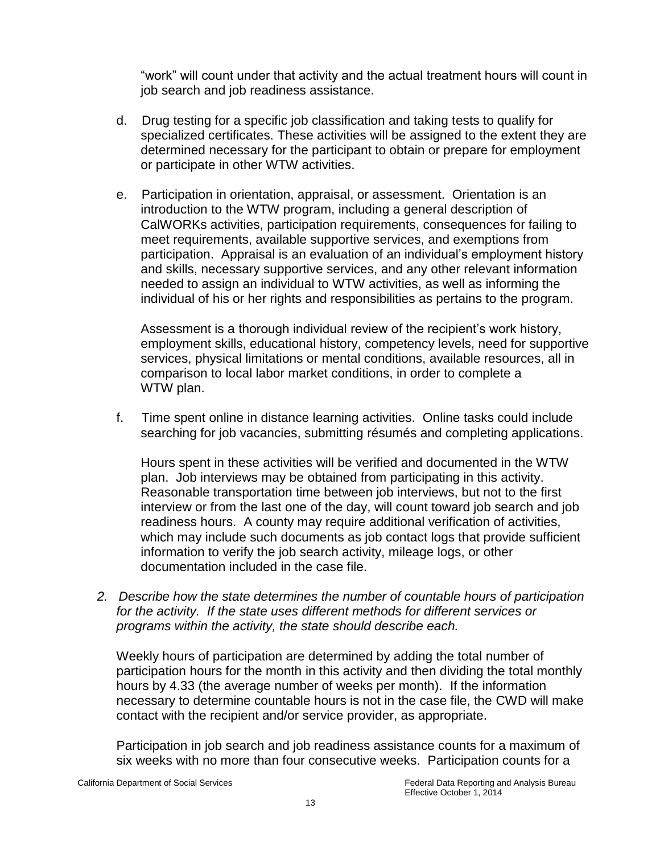"work" will count under that activity and the actual treatment hours will count in job search and job readiness assistance.

- d. Drug testing for a specific job classification and taking tests to qualify for specialized certificates. These activities will be assigned to the extent they are determined necessary for the participant to obtain or prepare for employment or participate in other WTW activities.
- e. Participation in orientation, appraisal, or assessment. Orientation is an introduction to the WTW program, including a general description of CalWORKs activities, participation requirements, consequences for failing to meet requirements, available supportive services, and exemptions from participation. Appraisal is an evaluation of an individual's employment history and skills, necessary supportive services, and any other relevant information needed to assign an individual to WTW activities, as well as informing the individual of his or her rights and responsibilities as pertains to the program.

Assessment is a thorough individual review of the recipient's work history, employment skills, educational history, competency levels, need for supportive services, physical limitations or mental conditions, available resources, all in comparison to local labor market conditions, in order to complete a WTW plan.

f. Time spent online in distance learning activities. Online tasks could include searching for job vacancies, submitting résumés and completing applications.

Hours spent in these activities will be verified and documented in the WTW plan. Job interviews may be obtained from participating in this activity. Reasonable transportation time between job interviews, but not to the first interview or from the last one of the day, will count toward job search and job readiness hours. A county may require additional verification of activities, which may include such documents as job contact logs that provide sufficient information to verify the job search activity, mileage logs, or other documentation included in the case file.

*2. Describe how the state determines the number of countable hours of participation for the activity. If the state uses different methods for different services or programs within the activity, the state should describe each.* 

Weekly hours of participation are determined by adding the total number of participation hours for the month in this activity and then dividing the total monthly hours by 4.33 (the average number of weeks per month). If the information necessary to determine countable hours is not in the case file, the CWD will make contact with the recipient and/or service provider, as appropriate.

Participation in job search and job readiness assistance counts for a maximum of six weeks with no more than four consecutive weeks. Participation counts for a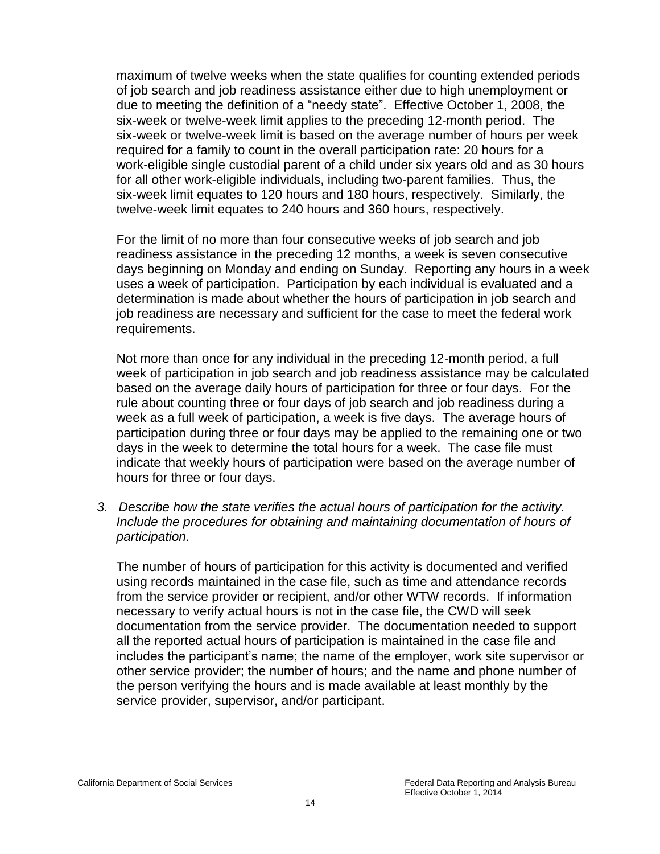maximum of twelve weeks when the state qualifies for counting extended periods of job search and job readiness assistance either due to high unemployment or due to meeting the definition of a "needy state". Effective October 1, 2008, the six-week or twelve-week limit applies to the preceding 12-month period. The six-week or twelve-week limit is based on the average number of hours per week required for a family to count in the overall participation rate: 20 hours for a work-eligible single custodial parent of a child under six years old and as 30 hours for all other work-eligible individuals, including two-parent families. Thus, the six-week limit equates to 120 hours and 180 hours, respectively. Similarly, the twelve-week limit equates to 240 hours and 360 hours, respectively.

For the limit of no more than four consecutive weeks of job search and job readiness assistance in the preceding 12 months, a week is seven consecutive days beginning on Monday and ending on Sunday. Reporting any hours in a week uses a week of participation. Participation by each individual is evaluated and a determination is made about whether the hours of participation in job search and job readiness are necessary and sufficient for the case to meet the federal work requirements.

Not more than once for any individual in the preceding 12-month period, a full week of participation in job search and job readiness assistance may be calculated based on the average daily hours of participation for three or four days. For the rule about counting three or four days of job search and job readiness during a week as a full week of participation, a week is five days. The average hours of participation during three or four days may be applied to the remaining one or two days in the week to determine the total hours for a week. The case file must indicate that weekly hours of participation were based on the average number of hours for three or four days.

*3. Describe how the state verifies the actual hours of participation for the activity. Include the procedures for obtaining and maintaining documentation of hours of participation.* 

The number of hours of participation for this activity is documented and verified using records maintained in the case file, such as time and attendance records from the service provider or recipient, and/or other WTW records. If information necessary to verify actual hours is not in the case file, the CWD will seek documentation from the service provider. The documentation needed to support all the reported actual hours of participation is maintained in the case file and includes the participant's name; the name of the employer, work site supervisor or other service provider; the number of hours; and the name and phone number of the person verifying the hours and is made available at least monthly by the service provider, supervisor, and/or participant.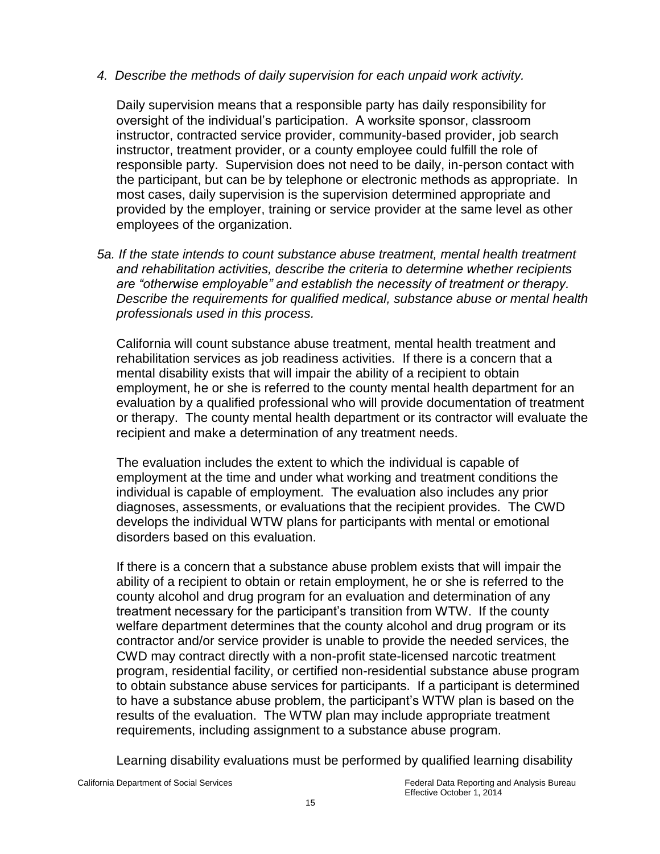# *4. Describe the methods of daily supervision for each unpaid work activity.*

Daily supervision means that a responsible party has daily responsibility for oversight of the individual's participation. A worksite sponsor, classroom instructor, contracted service provider, community-based provider, job search instructor, treatment provider, or a county employee could fulfill the role of responsible party. Supervision does not need to be daily, in-person contact with the participant, but can be by telephone or electronic methods as appropriate. In most cases, daily supervision is the supervision determined appropriate and provided by the employer, training or service provider at the same level as other employees of the organization.

*5a. If the state intends to count substance abuse treatment, mental health treatment and rehabilitation activities, describe the criteria to determine whether recipients are "otherwise employable" and establish the necessity of treatment or therapy. Describe the requirements for qualified medical, substance abuse or mental health professionals used in this process.* 

California will count substance abuse treatment, mental health treatment and rehabilitation services as job readiness activities. If there is a concern that a mental disability exists that will impair the ability of a recipient to obtain employment, he or she is referred to the county mental health department for an evaluation by a qualified professional who will provide documentation of treatment or therapy. The county mental health department or its contractor will evaluate the recipient and make a determination of any treatment needs.

The evaluation includes the extent to which the individual is capable of employment at the time and under what working and treatment conditions the individual is capable of employment. The evaluation also includes any prior diagnoses, assessments, or evaluations that the recipient provides. The CWD develops the individual WTW plans for participants with mental or emotional disorders based on this evaluation.

If there is a concern that a substance abuse problem exists that will impair the ability of a recipient to obtain or retain employment, he or she is referred to the county alcohol and drug program for an evaluation and determination of any treatment necessary for the participant's transition from WTW. If the county welfare department determines that the county alcohol and drug program or its contractor and/or service provider is unable to provide the needed services, the CWD may contract directly with a non-profit state-licensed narcotic treatment program, residential facility, or certified non-residential substance abuse program to obtain substance abuse services for participants. If a participant is determined to have a substance abuse problem, the participant's WTW plan is based on the results of the evaluation. The WTW plan may include appropriate treatment requirements, including assignment to a substance abuse program.

Learning disability evaluations must be performed by qualified learning disability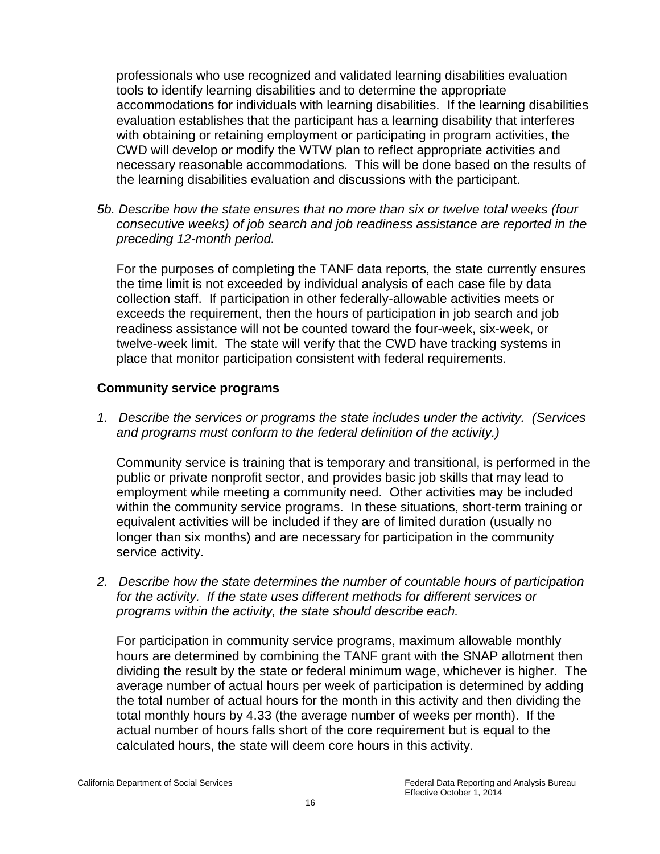professionals who use recognized and validated learning disabilities evaluation tools to identify learning disabilities and to determine the appropriate accommodations for individuals with learning disabilities. If the learning disabilities evaluation establishes that the participant has a learning disability that interferes with obtaining or retaining employment or participating in program activities, the CWD will develop or modify the WTW plan to reflect appropriate activities and necessary reasonable accommodations. This will be done based on the results of the learning disabilities evaluation and discussions with the participant.

*5b. Describe how the state ensures that no more than six or twelve total weeks (four consecutive weeks) of job search and job readiness assistance are reported in the preceding 12-month period.* 

For the purposes of completing the TANF data reports, the state currently ensures the time limit is not exceeded by individual analysis of each case file by data collection staff. If participation in other federally-allowable activities meets or exceeds the requirement, then the hours of participation in job search and job readiness assistance will not be counted toward the four-week, six-week, or twelve-week limit. The state will verify that the CWD have tracking systems in place that monitor participation consistent with federal requirements.

# **Community service programs**

*1. Describe the services or programs the state includes under the activity. (Services and programs must conform to the federal definition of the activity.)* 

Community service is training that is temporary and transitional, is performed in the public or private nonprofit sector, and provides basic job skills that may lead to employment while meeting a community need. Other activities may be included within the community service programs. In these situations, short-term training or equivalent activities will be included if they are of limited duration (usually no longer than six months) and are necessary for participation in the community service activity.

*2. Describe how the state determines the number of countable hours of participation for the activity. If the state uses different methods for different services or programs within the activity, the state should describe each.* 

For participation in community service programs, maximum allowable monthly hours are determined by combining the TANF grant with the SNAP allotment then dividing the result by the state or federal minimum wage, whichever is higher. The average number of actual hours per week of participation is determined by adding the total number of actual hours for the month in this activity and then dividing the total monthly hours by 4.33 (the average number of weeks per month). If the actual number of hours falls short of the core requirement but is equal to the calculated hours, the state will deem core hours in this activity.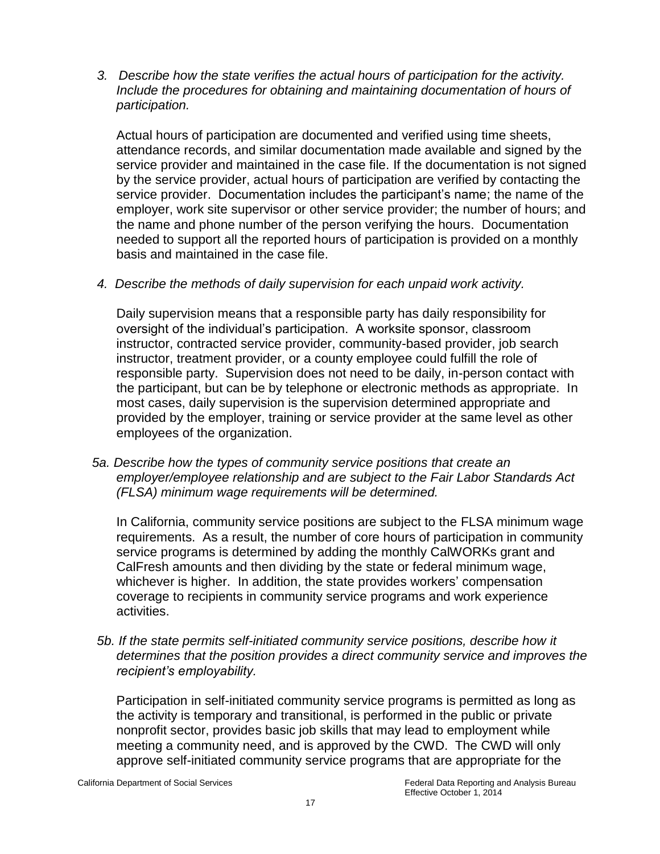*3. Describe how the state verifies the actual hours of participation for the activity. Include the procedures for obtaining and maintaining documentation of hours of participation.* 

Actual hours of participation are documented and verified using time sheets, attendance records, and similar documentation made available and signed by the service provider and maintained in the case file. If the documentation is not signed by the service provider, actual hours of participation are verified by contacting the service provider. Documentation includes the participant's name; the name of the employer, work site supervisor or other service provider; the number of hours; and the name and phone number of the person verifying the hours. Documentation needed to support all the reported hours of participation is provided on a monthly basis and maintained in the case file.

*4. Describe the methods of daily supervision for each unpaid work activity.*

Daily supervision means that a responsible party has daily responsibility for oversight of the individual's participation. A worksite sponsor, classroom instructor, contracted service provider, community-based provider, job search instructor, treatment provider, or a county employee could fulfill the role of responsible party. Supervision does not need to be daily, in-person contact with the participant, but can be by telephone or electronic methods as appropriate. In most cases, daily supervision is the supervision determined appropriate and provided by the employer, training or service provider at the same level as other employees of the organization.

 *5a. Describe how the types of community service positions that create an employer/employee relationship and are subject to the Fair Labor Standards Act (FLSA) minimum wage requirements will be determined.* 

In California, community service positions are subject to the FLSA minimum wage requirements. As a result, the number of core hours of participation in community service programs is determined by adding the monthly CalWORKs grant and CalFresh amounts and then dividing by the state or federal minimum wage, whichever is higher. In addition, the state provides workers' compensation coverage to recipients in community service programs and work experience activities.

*5b. If the state permits self-initiated community service positions, describe how it determines that the position provides a direct community service and improves the recipient's employability.* 

Participation in self-initiated community service programs is permitted as long as the activity is temporary and transitional, is performed in the public or private nonprofit sector, provides basic job skills that may lead to employment while meeting a community need, and is approved by the CWD. The CWD will only approve self-initiated community service programs that are appropriate for the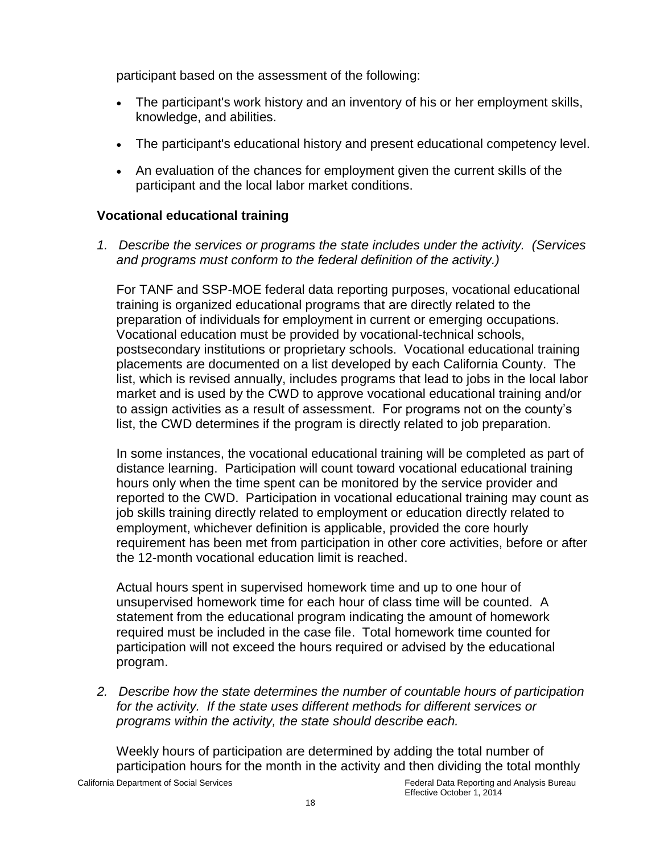participant based on the assessment of the following:

- The participant's work history and an inventory of his or her employment skills, knowledge, and abilities.
- The participant's educational history and present educational competency level.
- An evaluation of the chances for employment given the current skills of the participant and the local labor market conditions.

## **Vocational educational training**

*1. Describe the services or programs the state includes under the activity. (Services and programs must conform to the federal definition of the activity.)* 

For TANF and SSP-MOE federal data reporting purposes, vocational educational training is organized educational programs that are directly related to the preparation of individuals for employment in current or emerging occupations. Vocational education must be provided by vocational-technical schools, postsecondary institutions or proprietary schools. Vocational educational training placements are documented on a list developed by each California County. The list, which is revised annually, includes programs that lead to jobs in the local labor market and is used by the CWD to approve vocational educational training and/or to assign activities as a result of assessment. For programs not on the county's list, the CWD determines if the program is directly related to job preparation.

In some instances, the vocational educational training will be completed as part of distance learning. Participation will count toward vocational educational training hours only when the time spent can be monitored by the service provider and reported to the CWD. Participation in vocational educational training may count as job skills training directly related to employment or education directly related to employment, whichever definition is applicable, provided the core hourly requirement has been met from participation in other core activities, before or after the 12-month vocational education limit is reached.

Actual hours spent in supervised homework time and up to one hour of unsupervised homework time for each hour of class time will be counted. A statement from the educational program indicating the amount of homework required must be included in the case file. Total homework time counted for participation will not exceed the hours required or advised by the educational program.

*2. Describe how the state determines the number of countable hours of participation for the activity. If the state uses different methods for different services or programs within the activity, the state should describe each.* 

Weekly hours of participation are determined by adding the total number of participation hours for the month in the activity and then dividing the total monthly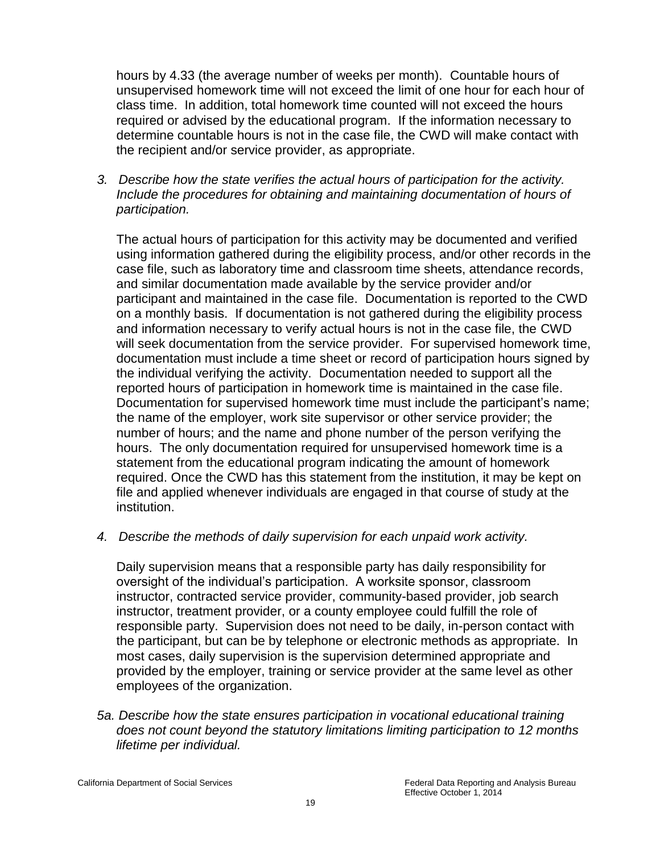hours by 4.33 (the average number of weeks per month). Countable hours of unsupervised homework time will not exceed the limit of one hour for each hour of class time. In addition, total homework time counted will not exceed the hours required or advised by the educational program. If the information necessary to determine countable hours is not in the case file, the CWD will make contact with the recipient and/or service provider, as appropriate.

*3. Describe how the state verifies the actual hours of participation for the activity. Include the procedures for obtaining and maintaining documentation of hours of participation.* 

The actual hours of participation for this activity may be documented and verified using information gathered during the eligibility process, and/or other records in the case file, such as laboratory time and classroom time sheets, attendance records, and similar documentation made available by the service provider and/or participant and maintained in the case file. Documentation is reported to the CWD on a monthly basis. If documentation is not gathered during the eligibility process and information necessary to verify actual hours is not in the case file, the CWD will seek documentation from the service provider. For supervised homework time, documentation must include a time sheet or record of participation hours signed by the individual verifying the activity. Documentation needed to support all the reported hours of participation in homework time is maintained in the case file. Documentation for supervised homework time must include the participant's name; the name of the employer, work site supervisor or other service provider; the number of hours; and the name and phone number of the person verifying the hours. The only documentation required for unsupervised homework time is a statement from the educational program indicating the amount of homework required. Once the CWD has this statement from the institution, it may be kept on file and applied whenever individuals are engaged in that course of study at the institution.

*4. Describe the methods of daily supervision for each unpaid work activity.* 

Daily supervision means that a responsible party has daily responsibility for oversight of the individual's participation. A worksite sponsor, classroom instructor, contracted service provider, community-based provider, job search instructor, treatment provider, or a county employee could fulfill the role of responsible party. Supervision does not need to be daily, in-person contact with the participant, but can be by telephone or electronic methods as appropriate. In most cases, daily supervision is the supervision determined appropriate and provided by the employer, training or service provider at the same level as other employees of the organization.

*5a. Describe how the state ensures participation in vocational educational training does not count beyond the statutory limitations limiting participation to 12 months lifetime per individual.*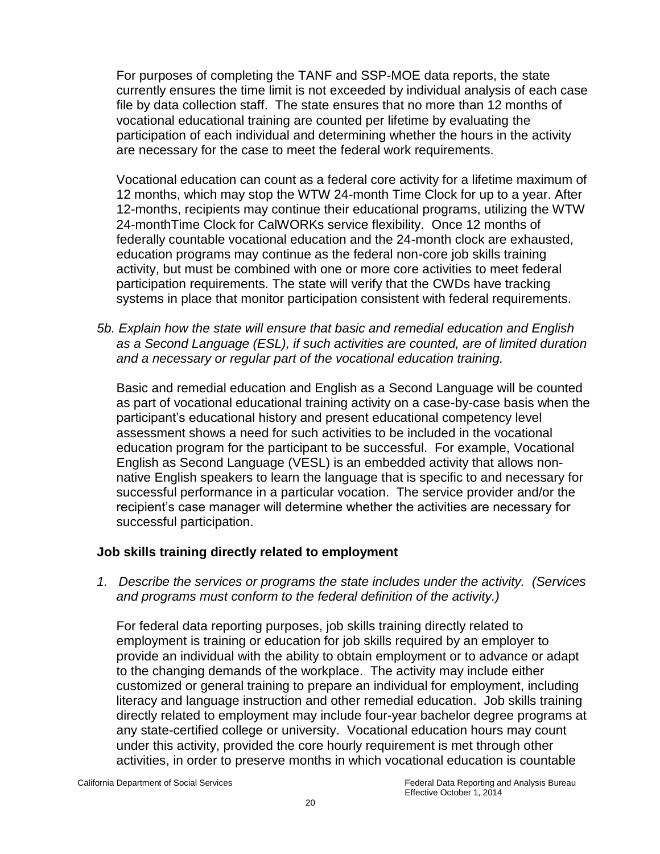For purposes of completing the TANF and SSP-MOE data reports, the state currently ensures the time limit is not exceeded by individual analysis of each case file by data collection staff. The state ensures that no more than 12 months of vocational educational training are counted per lifetime by evaluating the participation of each individual and determining whether the hours in the activity are necessary for the case to meet the federal work requirements.

Vocational education can count as a federal core activity for a lifetime maximum of 12 months, which may stop the WTW 24-month Time Clock for up to a year. After 12-months, recipients may continue their educational programs, utilizing the WTW 24-monthTime Clock for CalWORKs service flexibility. Once 12 months of federally countable vocational education and the 24-month clock are exhausted, education programs may continue as the federal non-core job skills training activity, but must be combined with one or more core activities to meet federal participation requirements. The state will verify that the CWDs have tracking systems in place that monitor participation consistent with federal requirements.

*5b. Explain how the state will ensure that basic and remedial education and English as a Second Language (ESL), if such activities are counted, are of limited duration and a necessary or regular part of the vocational education training.* 

Basic and remedial education and English as a Second Language will be counted as part of vocational educational training activity on a case-by-case basis when the participant's educational history and present educational competency level assessment shows a need for such activities to be included in the vocational education program for the participant to be successful. For example, Vocational English as Second Language (VESL) is an embedded activity that allows nonnative English speakers to learn the language that is specific to and necessary for successful performance in a particular vocation. The service provider and/or the recipient's case manager will determine whether the activities are necessary for successful participation.

# **Job skills training directly related to employment**

*1. Describe the services or programs the state includes under the activity. (Services and programs must conform to the federal definition of the activity.)* 

For federal data reporting purposes, job skills training directly related to employment is training or education for job skills required by an employer to provide an individual with the ability to obtain employment or to advance or adapt to the changing demands of the workplace. The activity may include either customized or general training to prepare an individual for employment, including literacy and language instruction and other remedial education. Job skills training directly related to employment may include four-year bachelor degree programs at any state-certified college or university. Vocational education hours may count under this activity, provided the core hourly requirement is met through other activities, in order to preserve months in which vocational education is countable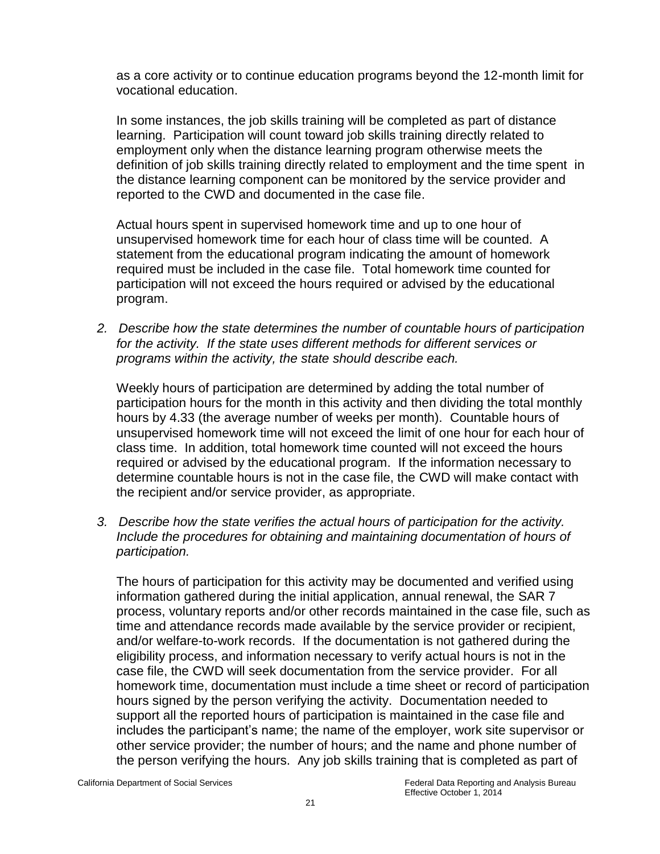as a core activity or to continue education programs beyond the 12-month limit for vocational education.

In some instances, the job skills training will be completed as part of distance learning. Participation will count toward job skills training directly related to employment only when the distance learning program otherwise meets the definition of job skills training directly related to employment and the time spent in the distance learning component can be monitored by the service provider and reported to the CWD and documented in the case file.

Actual hours spent in supervised homework time and up to one hour of unsupervised homework time for each hour of class time will be counted. A statement from the educational program indicating the amount of homework required must be included in the case file. Total homework time counted for participation will not exceed the hours required or advised by the educational program.

*2. Describe how the state determines the number of countable hours of participation for the activity. If the state uses different methods for different services or programs within the activity, the state should describe each.* 

Weekly hours of participation are determined by adding the total number of participation hours for the month in this activity and then dividing the total monthly hours by 4.33 (the average number of weeks per month). Countable hours of unsupervised homework time will not exceed the limit of one hour for each hour of class time. In addition, total homework time counted will not exceed the hours required or advised by the educational program. If the information necessary to determine countable hours is not in the case file, the CWD will make contact with the recipient and/or service provider, as appropriate.

*3. Describe how the state verifies the actual hours of participation for the activity. Include the procedures for obtaining and maintaining documentation of hours of participation.* 

The hours of participation for this activity may be documented and verified using information gathered during the initial application, annual renewal, the SAR 7 process, voluntary reports and/or other records maintained in the case file, such as time and attendance records made available by the service provider or recipient, and/or welfare-to-work records. If the documentation is not gathered during the eligibility process, and information necessary to verify actual hours is not in the case file, the CWD will seek documentation from the service provider. For all homework time, documentation must include a time sheet or record of participation hours signed by the person verifying the activity. Documentation needed to support all the reported hours of participation is maintained in the case file and includes the participant's name; the name of the employer, work site supervisor or other service provider; the number of hours; and the name and phone number of the person verifying the hours. Any job skills training that is completed as part of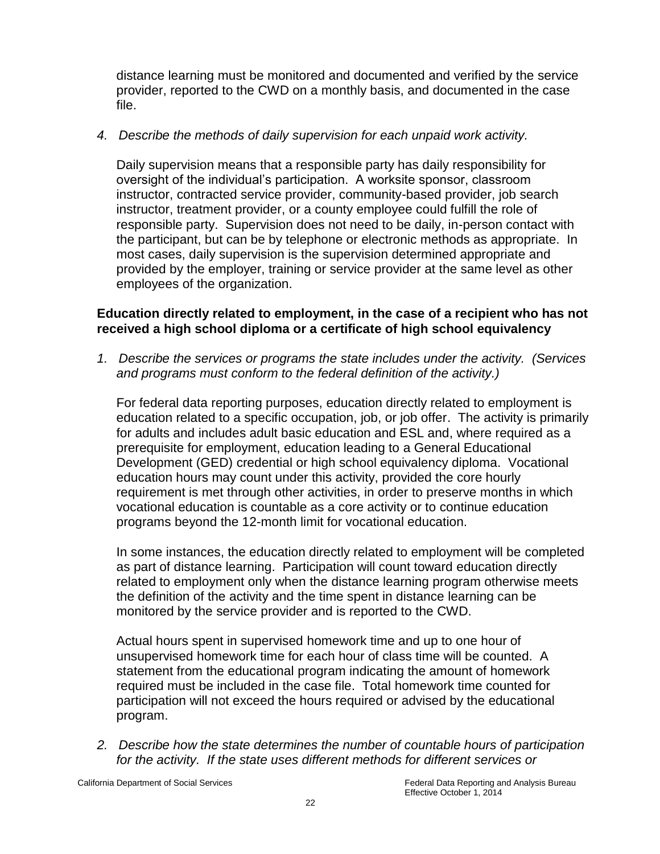distance learning must be monitored and documented and verified by the service provider, reported to the CWD on a monthly basis, and documented in the case file.

# *4. Describe the methods of daily supervision for each unpaid work activity.*

Daily supervision means that a responsible party has daily responsibility for oversight of the individual's participation. A worksite sponsor, classroom instructor, contracted service provider, community-based provider, job search instructor, treatment provider, or a county employee could fulfill the role of responsible party. Supervision does not need to be daily, in-person contact with the participant, but can be by telephone or electronic methods as appropriate. In most cases, daily supervision is the supervision determined appropriate and provided by the employer, training or service provider at the same level as other employees of the organization.

#### **Education directly related to employment, in the case of a recipient who has not received a high school diploma or a certificate of high school equivalency**

*1. Describe the services or programs the state includes under the activity. (Services and programs must conform to the federal definition of the activity.)* 

For federal data reporting purposes, education directly related to employment is education related to a specific occupation, job, or job offer. The activity is primarily for adults and includes adult basic education and ESL and, where required as a prerequisite for employment, education leading to a General Educational Development (GED) credential or high school equivalency diploma. Vocational education hours may count under this activity, provided the core hourly requirement is met through other activities, in order to preserve months in which vocational education is countable as a core activity or to continue education programs beyond the 12-month limit for vocational education.

In some instances, the education directly related to employment will be completed as part of distance learning. Participation will count toward education directly related to employment only when the distance learning program otherwise meets the definition of the activity and the time spent in distance learning can be monitored by the service provider and is reported to the CWD.

Actual hours spent in supervised homework time and up to one hour of unsupervised homework time for each hour of class time will be counted. A statement from the educational program indicating the amount of homework required must be included in the case file. Total homework time counted for participation will not exceed the hours required or advised by the educational program.

*2. Describe how the state determines the number of countable hours of participation for the activity. If the state uses different methods for different services or*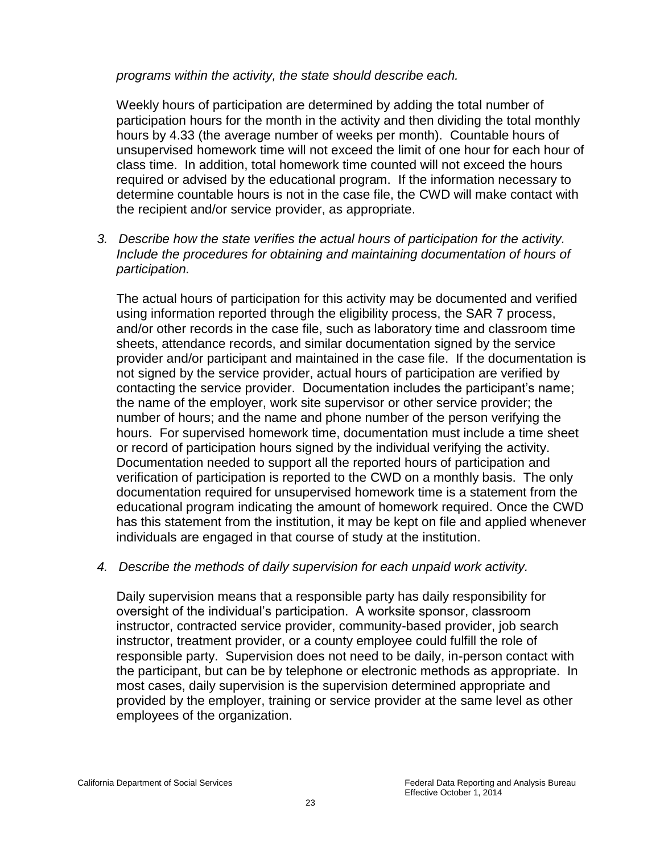#### *programs within the activity, the state should describe each.*

Weekly hours of participation are determined by adding the total number of participation hours for the month in the activity and then dividing the total monthly hours by 4.33 (the average number of weeks per month). Countable hours of unsupervised homework time will not exceed the limit of one hour for each hour of class time. In addition, total homework time counted will not exceed the hours required or advised by the educational program. If the information necessary to determine countable hours is not in the case file, the CWD will make contact with the recipient and/or service provider, as appropriate.

*3. Describe how the state verifies the actual hours of participation for the activity. Include the procedures for obtaining and maintaining documentation of hours of participation.* 

The actual hours of participation for this activity may be documented and verified using information reported through the eligibility process, the SAR 7 process, and/or other records in the case file, such as laboratory time and classroom time sheets, attendance records, and similar documentation signed by the service provider and/or participant and maintained in the case file. If the documentation is not signed by the service provider, actual hours of participation are verified by contacting the service provider. Documentation includes the participant's name; the name of the employer, work site supervisor or other service provider; the number of hours; and the name and phone number of the person verifying the hours. For supervised homework time, documentation must include a time sheet or record of participation hours signed by the individual verifying the activity. Documentation needed to support all the reported hours of participation and verification of participation is reported to the CWD on a monthly basis. The only documentation required for unsupervised homework time is a statement from the educational program indicating the amount of homework required. Once the CWD has this statement from the institution, it may be kept on file and applied whenever individuals are engaged in that course of study at the institution.

#### *4. Describe the methods of daily supervision for each unpaid work activity.*

Daily supervision means that a responsible party has daily responsibility for oversight of the individual's participation. A worksite sponsor, classroom instructor, contracted service provider, community-based provider, job search instructor, treatment provider, or a county employee could fulfill the role of responsible party. Supervision does not need to be daily, in-person contact with the participant, but can be by telephone or electronic methods as appropriate. In most cases, daily supervision is the supervision determined appropriate and provided by the employer, training or service provider at the same level as other employees of the organization.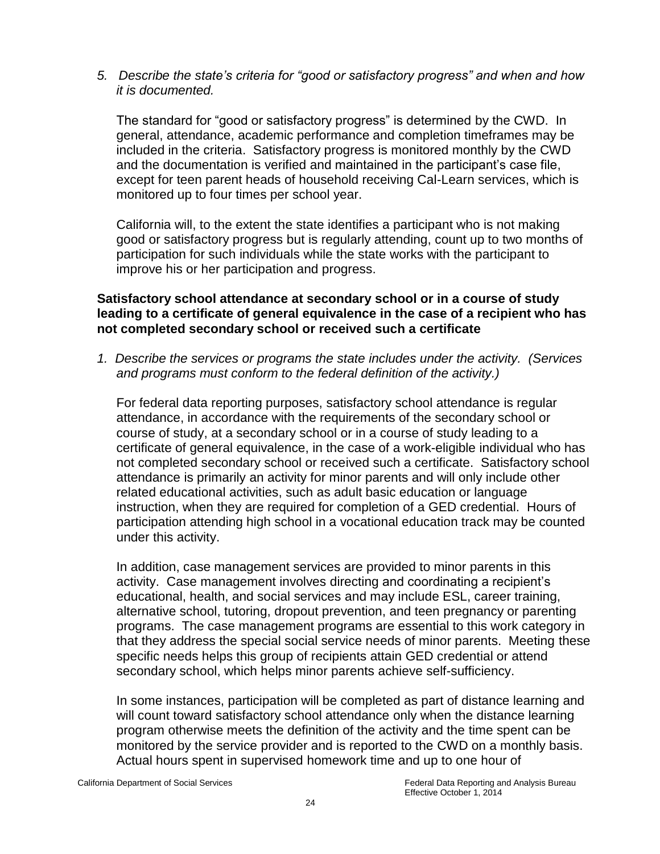*5. Describe the state's criteria for "good or satisfactory progress" and when and how it is documented.* 

The standard for "good or satisfactory progress" is determined by the CWD. In general, attendance, academic performance and completion timeframes may be included in the criteria. Satisfactory progress is monitored monthly by the CWD and the documentation is verified and maintained in the participant's case file, except for teen parent heads of household receiving Cal-Learn services, which is monitored up to four times per school year.

California will, to the extent the state identifies a participant who is not making good or satisfactory progress but is regularly attending, count up to two months of participation for such individuals while the state works with the participant to improve his or her participation and progress.

#### **Satisfactory school attendance at secondary school or in a course of study leading to a certificate of general equivalence in the case of a recipient who has not completed secondary school or received such a certificate**

*1. Describe the services or programs the state includes under the activity. (Services and programs must conform to the federal definition of the activity.)* 

For federal data reporting purposes, satisfactory school attendance is regular attendance, in accordance with the requirements of the secondary school or course of study, at a secondary school or in a course of study leading to a certificate of general equivalence, in the case of a work-eligible individual who has not completed secondary school or received such a certificate. Satisfactory school attendance is primarily an activity for minor parents and will only include other related educational activities, such as adult basic education or language instruction, when they are required for completion of a GED credential. Hours of participation attending high school in a vocational education track may be counted under this activity.

In addition, case management services are provided to minor parents in this activity. Case management involves directing and coordinating a recipient's educational, health, and social services and may include ESL, career training, alternative school, tutoring, dropout prevention, and teen pregnancy or parenting programs. The case management programs are essential to this work category in that they address the special social service needs of minor parents. Meeting these specific needs helps this group of recipients attain GED credential or attend secondary school, which helps minor parents achieve self-sufficiency.

In some instances, participation will be completed as part of distance learning and will count toward satisfactory school attendance only when the distance learning program otherwise meets the definition of the activity and the time spent can be monitored by the service provider and is reported to the CWD on a monthly basis. Actual hours spent in supervised homework time and up to one hour of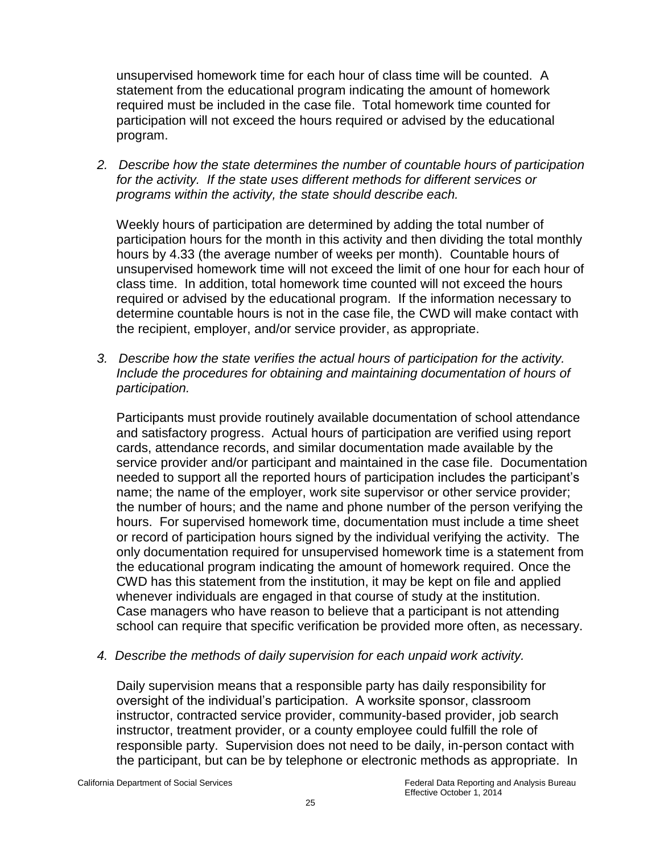unsupervised homework time for each hour of class time will be counted. A statement from the educational program indicating the amount of homework required must be included in the case file. Total homework time counted for participation will not exceed the hours required or advised by the educational program.

*2. Describe how the state determines the number of countable hours of participation for the activity. If the state uses different methods for different services or programs within the activity, the state should describe each.* 

Weekly hours of participation are determined by adding the total number of participation hours for the month in this activity and then dividing the total monthly hours by 4.33 (the average number of weeks per month). Countable hours of unsupervised homework time will not exceed the limit of one hour for each hour of class time. In addition, total homework time counted will not exceed the hours required or advised by the educational program. If the information necessary to determine countable hours is not in the case file, the CWD will make contact with the recipient, employer, and/or service provider, as appropriate.

*3. Describe how the state verifies the actual hours of participation for the activity. Include the procedures for obtaining and maintaining documentation of hours of participation.* 

Participants must provide routinely available documentation of school attendance and satisfactory progress. Actual hours of participation are verified using report cards, attendance records, and similar documentation made available by the service provider and/or participant and maintained in the case file. Documentation needed to support all the reported hours of participation includes the participant's name; the name of the employer, work site supervisor or other service provider; the number of hours; and the name and phone number of the person verifying the hours. For supervised homework time, documentation must include a time sheet or record of participation hours signed by the individual verifying the activity. The only documentation required for unsupervised homework time is a statement from the educational program indicating the amount of homework required. Once the CWD has this statement from the institution, it may be kept on file and applied whenever individuals are engaged in that course of study at the institution. Case managers who have reason to believe that a participant is not attending school can require that specific verification be provided more often, as necessary.

*4. Describe the methods of daily supervision for each unpaid work activity.* 

Daily supervision means that a responsible party has daily responsibility for oversight of the individual's participation. A worksite sponsor, classroom instructor, contracted service provider, community-based provider, job search instructor, treatment provider, or a county employee could fulfill the role of responsible party. Supervision does not need to be daily, in-person contact with the participant, but can be by telephone or electronic methods as appropriate. In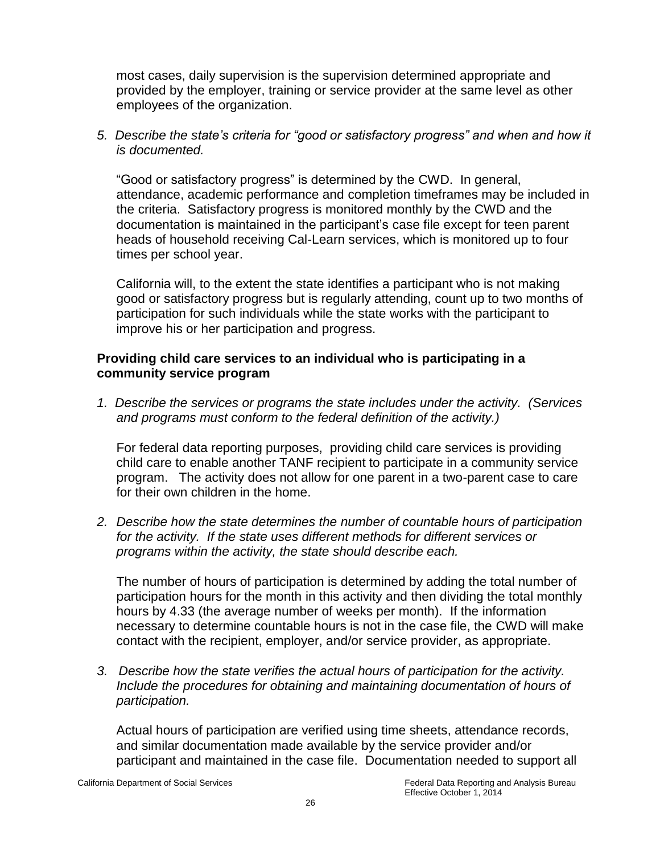most cases, daily supervision is the supervision determined appropriate and provided by the employer, training or service provider at the same level as other employees of the organization.

*5. Describe the state's criteria for "good or satisfactory progress" and when and how it is documented.* 

"Good or satisfactory progress" is determined by the CWD. In general, attendance, academic performance and completion timeframes may be included in the criteria. Satisfactory progress is monitored monthly by the CWD and the documentation is maintained in the participant's case file except for teen parent heads of household receiving Cal-Learn services, which is monitored up to four times per school year.

California will, to the extent the state identifies a participant who is not making good or satisfactory progress but is regularly attending, count up to two months of participation for such individuals while the state works with the participant to improve his or her participation and progress.

# **Providing child care services to an individual who is participating in a community service program**

*1. Describe the services or programs the state includes under the activity. (Services and programs must conform to the federal definition of the activity.)* 

For federal data reporting purposes, providing child care services is providing child care to enable another TANF recipient to participate in a community service program. The activity does not allow for one parent in a two-parent case to care for their own children in the home.

*2. Describe how the state determines the number of countable hours of participation for the activity. If the state uses different methods for different services or programs within the activity, the state should describe each.* 

The number of hours of participation is determined by adding the total number of participation hours for the month in this activity and then dividing the total monthly hours by 4.33 (the average number of weeks per month). If the information necessary to determine countable hours is not in the case file, the CWD will make contact with the recipient, employer, and/or service provider, as appropriate.

*3. Describe how the state verifies the actual hours of participation for the activity. Include the procedures for obtaining and maintaining documentation of hours of participation.* 

Actual hours of participation are verified using time sheets, attendance records, and similar documentation made available by the service provider and/or participant and maintained in the case file. Documentation needed to support all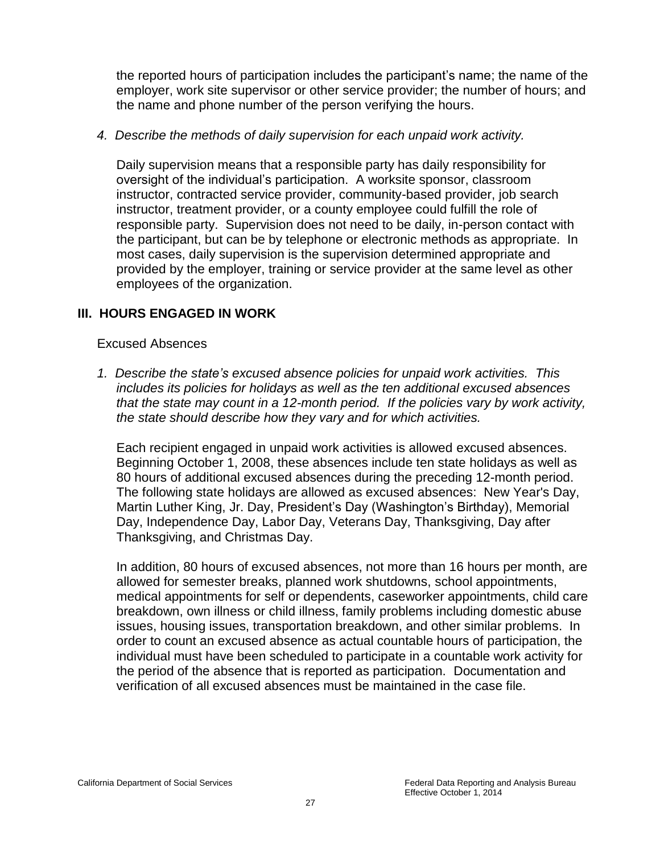the reported hours of participation includes the participant's name; the name of the employer, work site supervisor or other service provider; the number of hours; and the name and phone number of the person verifying the hours.

#### *4. Describe the methods of daily supervision for each unpaid work activity.*

Daily supervision means that a responsible party has daily responsibility for oversight of the individual's participation. A worksite sponsor, classroom instructor, contracted service provider, community-based provider, job search instructor, treatment provider, or a county employee could fulfill the role of responsible party. Supervision does not need to be daily, in-person contact with the participant, but can be by telephone or electronic methods as appropriate. In most cases, daily supervision is the supervision determined appropriate and provided by the employer, training or service provider at the same level as other employees of the organization.

# **III. HOURS ENGAGED IN WORK**

#### Excused Absences

*1. Describe the state's excused absence policies for unpaid work activities. This includes its policies for holidays as well as the ten additional excused absences that the state may count in a 12-month period. If the policies vary by work activity, the state should describe how they vary and for which activities.* 

Each recipient engaged in unpaid work activities is allowed excused absences. Beginning October 1, 2008, these absences include ten state holidays as well as 80 hours of additional excused absences during the preceding 12-month period. The following state holidays are allowed as excused absences: New Year's Day, Martin Luther King, Jr. Day, President's Day (Washington's Birthday), Memorial Day, Independence Day, Labor Day, Veterans Day, Thanksgiving, Day after Thanksgiving, and Christmas Day.

In addition, 80 hours of excused absences, not more than 16 hours per month, are allowed for semester breaks, planned work shutdowns, school appointments, medical appointments for self or dependents, caseworker appointments, child care breakdown, own illness or child illness, family problems including domestic abuse issues, housing issues, transportation breakdown, and other similar problems. In order to count an excused absence as actual countable hours of participation, the individual must have been scheduled to participate in a countable work activity for the period of the absence that is reported as participation. Documentation and verification of all excused absences must be maintained in the case file.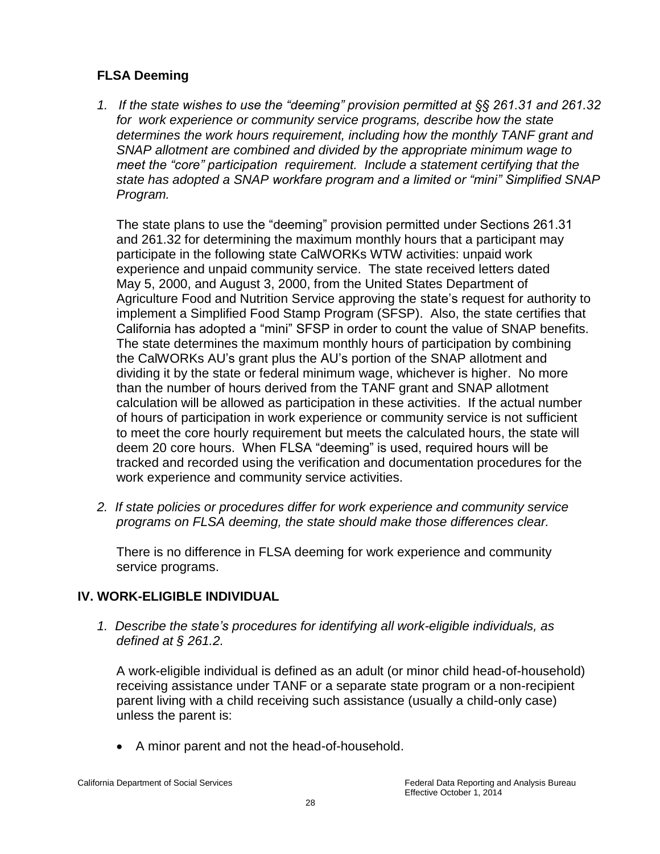# **FLSA Deeming**

*1. If the state wishes to use the "deeming" provision permitted at §§ 261.31 and 261.32 for work experience or community service programs, describe how the state determines the work hours requirement, including how the monthly TANF grant and SNAP allotment are combined and divided by the appropriate minimum wage to meet the "core" participation requirement. Include a statement certifying that the state has adopted a SNAP workfare program and a limited or "mini" Simplified SNAP Program.* 

The state plans to use the "deeming" provision permitted under Sections 261.31 and 261.32 for determining the maximum monthly hours that a participant may participate in the following state CalWORKs WTW activities: unpaid work experience and unpaid community service. The state received letters dated May 5, 2000, and August 3, 2000, from the United States Department of Agriculture Food and Nutrition Service approving the state's request for authority to implement a Simplified Food Stamp Program (SFSP). Also, the state certifies that California has adopted a "mini" SFSP in order to count the value of SNAP benefits. The state determines the maximum monthly hours of participation by combining the CalWORKs AU's grant plus the AU's portion of the SNAP allotment and dividing it by the state or federal minimum wage, whichever is higher. No more than the number of hours derived from the TANF grant and SNAP allotment calculation will be allowed as participation in these activities. If the actual number of hours of participation in work experience or community service is not sufficient to meet the core hourly requirement but meets the calculated hours, the state will deem 20 core hours. When FLSA "deeming" is used, required hours will be tracked and recorded using the verification and documentation procedures for the work experience and community service activities.

*2. If state policies or procedures differ for work experience and community service programs on FLSA deeming, the state should make those differences clear.* 

There is no difference in FLSA deeming for work experience and community service programs.

# **IV. WORK-ELIGIBLE INDIVIDUAL**

*1. Describe the state's procedures for identifying all work-eligible individuals, as defined at § 261.2.* 

A work-eligible individual is defined as an adult (or minor child head-of-household) receiving assistance under TANF or a separate state program or a non-recipient parent living with a child receiving such assistance (usually a child-only case) unless the parent is:

A minor parent and not the head-of-household.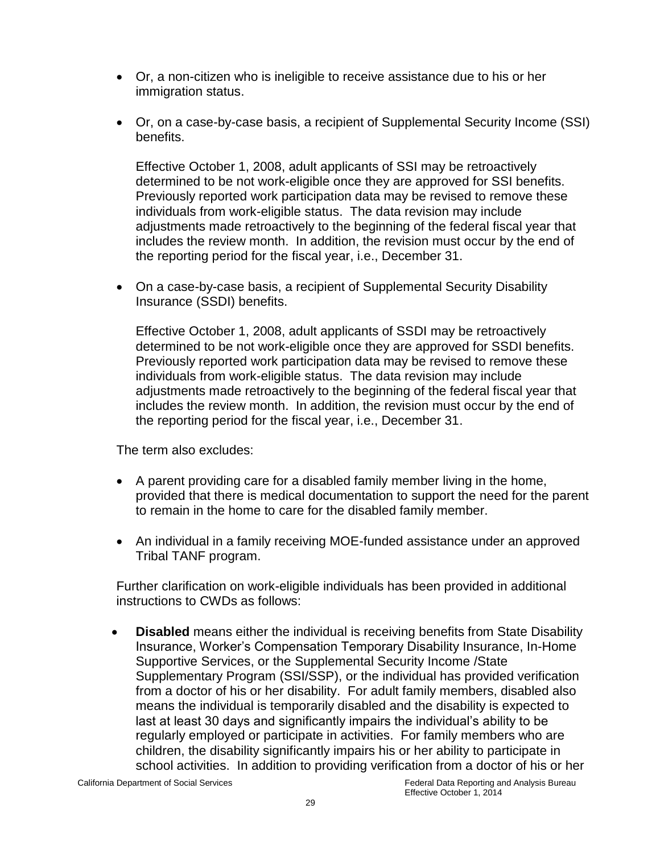- Or, a non-citizen who is ineligible to receive assistance due to his or her immigration status.
- Or, on a case-by-case basis, a recipient of Supplemental Security Income (SSI) benefits.

Effective October 1, 2008, adult applicants of SSI may be retroactively determined to be not work-eligible once they are approved for SSI benefits. Previously reported work participation data may be revised to remove these individuals from work-eligible status. The data revision may include adjustments made retroactively to the beginning of the federal fiscal year that includes the review month. In addition, the revision must occur by the end of the reporting period for the fiscal year, i.e., December 31.

• On a case-by-case basis, a recipient of Supplemental Security Disability Insurance (SSDI) benefits.

Effective October 1, 2008, adult applicants of SSDI may be retroactively determined to be not work-eligible once they are approved for SSDI benefits. Previously reported work participation data may be revised to remove these individuals from work-eligible status. The data revision may include adjustments made retroactively to the beginning of the federal fiscal year that includes the review month. In addition, the revision must occur by the end of the reporting period for the fiscal year, i.e., December 31.

The term also excludes:

- A parent providing care for a disabled family member living in the home, provided that there is medical documentation to support the need for the parent to remain in the home to care for the disabled family member.
- An individual in a family receiving MOE-funded assistance under an approved Tribal TANF program.

Further clarification on work-eligible individuals has been provided in additional instructions to CWDs as follows:

 **Disabled** means either the individual is receiving benefits from State Disability Insurance, Worker's Compensation Temporary Disability Insurance, In-Home Supportive Services, or the Supplemental Security Income /State Supplementary Program (SSI/SSP), or the individual has provided verification from a doctor of his or her disability. For adult family members, disabled also means the individual is temporarily disabled and the disability is expected to last at least 30 days and significantly impairs the individual's ability to be regularly employed or participate in activities. For family members who are children, the disability significantly impairs his or her ability to participate in school activities. In addition to providing verification from a doctor of his or her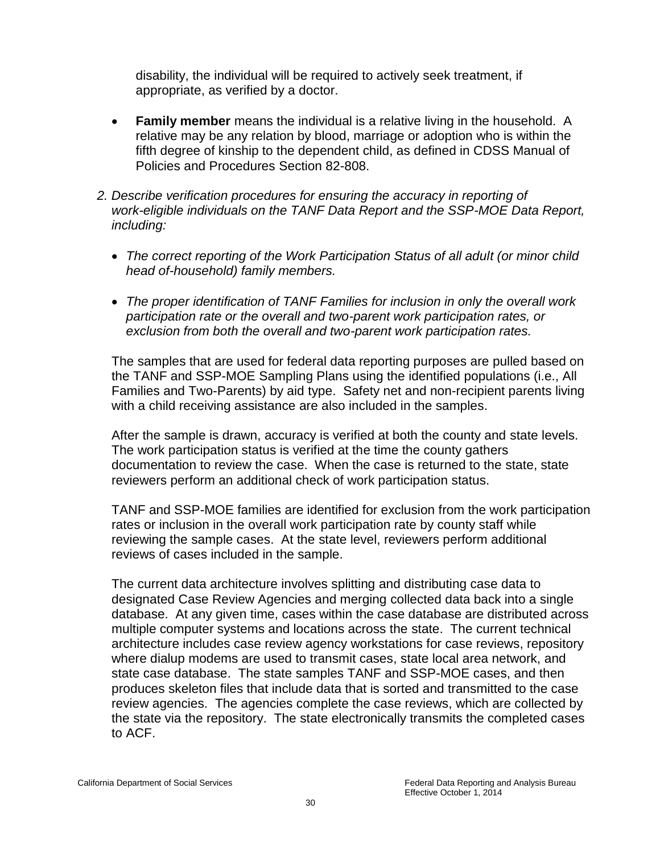disability, the individual will be required to actively seek treatment, if appropriate, as verified by a doctor.

- **Family member** means the individual is a relative living in the household. A relative may be any relation by blood, marriage or adoption who is within the fifth degree of kinship to the dependent child, as defined in CDSS Manual of Policies and Procedures Section 82-808.
- *2. Describe verification procedures for ensuring the accuracy in reporting of work-eligible individuals on the TANF Data Report and the SSP-MOE Data Report, including:*
	- The correct reporting of the Work Participation Status of all adult (or minor child *head of-household) family members.*
	- *The proper identification of TANF Families for inclusion in only the overall work participation rate or the overall and two-parent work participation rates, or exclusion from both the overall and two-parent work participation rates.*

The samples that are used for federal data reporting purposes are pulled based on the TANF and SSP-MOE Sampling Plans using the identified populations (i.e., All Families and Two-Parents) by aid type. Safety net and non-recipient parents living with a child receiving assistance are also included in the samples.

After the sample is drawn, accuracy is verified at both the county and state levels. The work participation status is verified at the time the county gathers documentation to review the case. When the case is returned to the state, state reviewers perform an additional check of work participation status.

TANF and SSP-MOE families are identified for exclusion from the work participation rates or inclusion in the overall work participation rate by county staff while reviewing the sample cases. At the state level, reviewers perform additional reviews of cases included in the sample.

The current data architecture involves splitting and distributing case data to designated Case Review Agencies and merging collected data back into a single database. At any given time, cases within the case database are distributed across multiple computer systems and locations across the state. The current technical architecture includes case review agency workstations for case reviews, repository where dialup modems are used to transmit cases, state local area network, and state case database. The state samples TANF and SSP-MOE cases, and then produces skeleton files that include data that is sorted and transmitted to the case review agencies. The agencies complete the case reviews, which are collected by the state via the repository. The state electronically transmits the completed cases to ACF.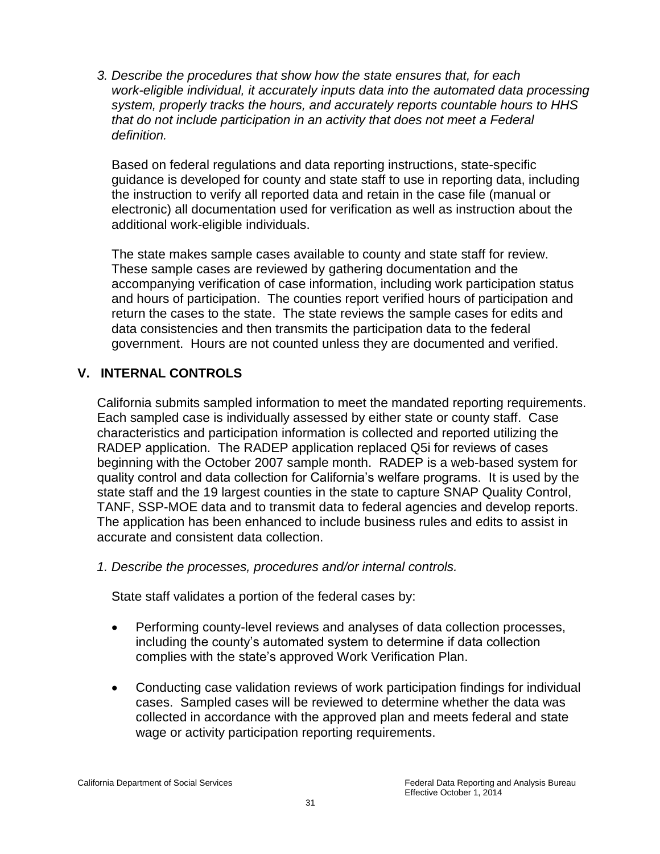*3. Describe the procedures that show how the state ensures that, for each work-eligible individual, it accurately inputs data into the automated data processing system, properly tracks the hours, and accurately reports countable hours to HHS that do not include participation in an activity that does not meet a Federal definition.* 

Based on federal regulations and data reporting instructions, state-specific guidance is developed for county and state staff to use in reporting data, including the instruction to verify all reported data and retain in the case file (manual or electronic) all documentation used for verification as well as instruction about the additional work-eligible individuals.

The state makes sample cases available to county and state staff for review. These sample cases are reviewed by gathering documentation and the accompanying verification of case information, including work participation status and hours of participation. The counties report verified hours of participation and return the cases to the state. The state reviews the sample cases for edits and data consistencies and then transmits the participation data to the federal government. Hours are not counted unless they are documented and verified.

# **V. INTERNAL CONTROLS**

California submits sampled information to meet the mandated reporting requirements. Each sampled case is individually assessed by either state or county staff. Case characteristics and participation information is collected and reported utilizing the RADEP application. The RADEP application replaced Q5i for reviews of cases beginning with the October 2007 sample month. RADEP is a web-based system for quality control and data collection for California's welfare programs. It is used by the state staff and the 19 largest counties in the state to capture SNAP Quality Control, TANF, SSP-MOE data and to transmit data to federal agencies and develop reports. The application has been enhanced to include business rules and edits to assist in accurate and consistent data collection.

*1. Describe the processes, procedures and/or internal controls.* 

State staff validates a portion of the federal cases by:

- Performing county-level reviews and analyses of data collection processes, including the county's automated system to determine if data collection complies with the state's approved Work Verification Plan.
- Conducting case validation reviews of work participation findings for individual cases. Sampled cases will be reviewed to determine whether the data was collected in accordance with the approved plan and meets federal and state wage or activity participation reporting requirements.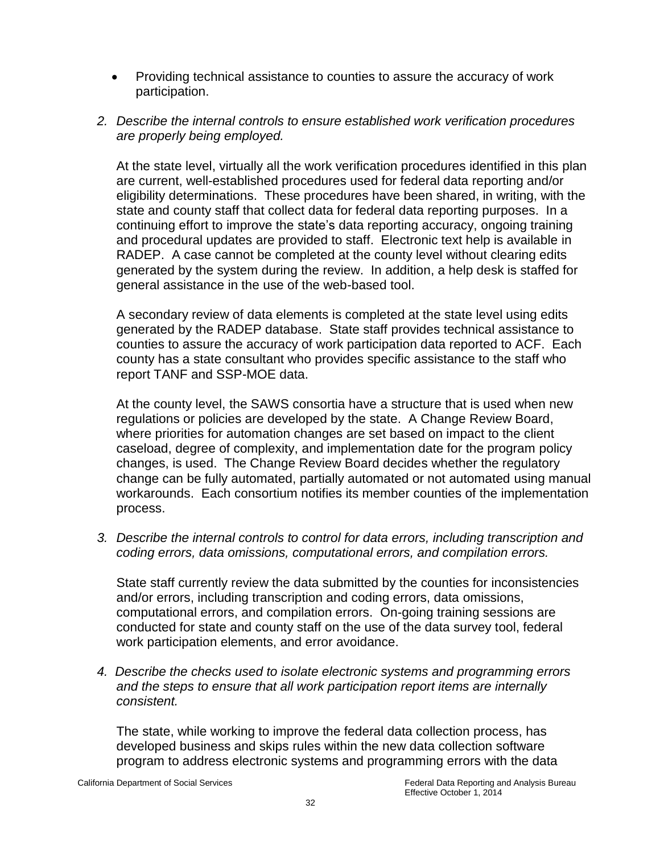- Providing technical assistance to counties to assure the accuracy of work participation.
- *2. Describe the internal controls to ensure established work verification procedures are properly being employed.*

At the state level, virtually all the work verification procedures identified in this plan are current, well-established procedures used for federal data reporting and/or eligibility determinations. These procedures have been shared, in writing, with the state and county staff that collect data for federal data reporting purposes. In a continuing effort to improve the state's data reporting accuracy, ongoing training and procedural updates are provided to staff. Electronic text help is available in RADEP. A case cannot be completed at the county level without clearing edits generated by the system during the review. In addition, a help desk is staffed for general assistance in the use of the web-based tool.

A secondary review of data elements is completed at the state level using edits generated by the RADEP database. State staff provides technical assistance to counties to assure the accuracy of work participation data reported to ACF. Each county has a state consultant who provides specific assistance to the staff who report TANF and SSP-MOE data.

At the county level, the SAWS consortia have a structure that is used when new regulations or policies are developed by the state. A Change Review Board, where priorities for automation changes are set based on impact to the client caseload, degree of complexity, and implementation date for the program policy changes, is used. The Change Review Board decides whether the regulatory change can be fully automated, partially automated or not automated using manual workarounds. Each consortium notifies its member counties of the implementation process.

*3. Describe the internal controls to control for data errors, including transcription and coding errors, data omissions, computational errors, and compilation errors.*

State staff currently review the data submitted by the counties for inconsistencies and/or errors, including transcription and coding errors, data omissions, computational errors, and compilation errors. On-going training sessions are conducted for state and county staff on the use of the data survey tool, federal work participation elements, and error avoidance.

*4. Describe the checks used to isolate electronic systems and programming errors and the steps to ensure that all work participation report items are internally consistent.* 

The state, while working to improve the federal data collection process, has developed business and skips rules within the new data collection software program to address electronic systems and programming errors with the data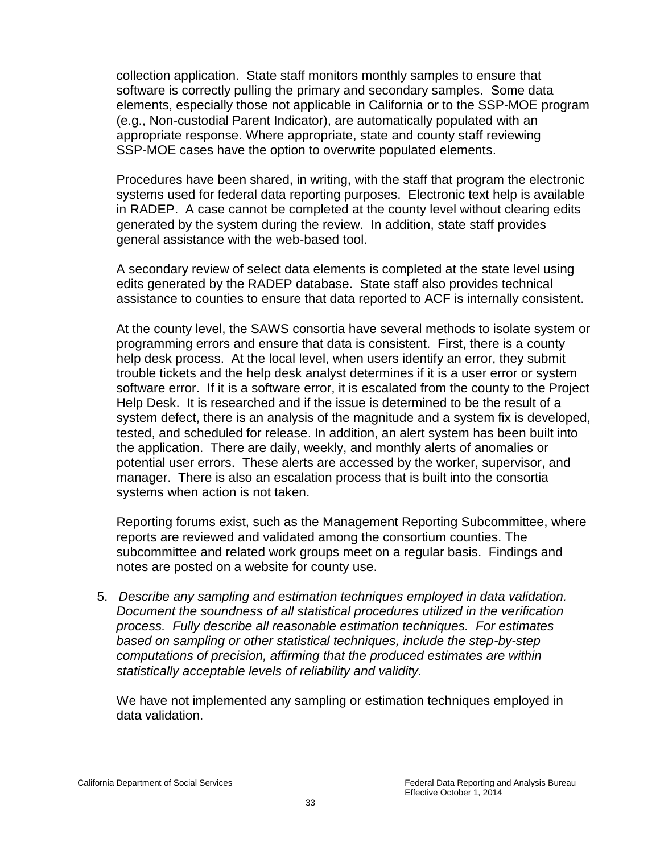collection application. State staff monitors monthly samples to ensure that software is correctly pulling the primary and secondary samples. Some data elements, especially those not applicable in California or to the SSP-MOE program (e.g., Non-custodial Parent Indicator), are automatically populated with an appropriate response. Where appropriate, state and county staff reviewing SSP-MOE cases have the option to overwrite populated elements.

Procedures have been shared, in writing, with the staff that program the electronic systems used for federal data reporting purposes. Electronic text help is available in RADEP. A case cannot be completed at the county level without clearing edits generated by the system during the review. In addition, state staff provides general assistance with the web-based tool.

A secondary review of select data elements is completed at the state level using edits generated by the RADEP database. State staff also provides technical assistance to counties to ensure that data reported to ACF is internally consistent.

At the county level, the SAWS consortia have several methods to isolate system or programming errors and ensure that data is consistent. First, there is a county help desk process. At the local level, when users identify an error, they submit trouble tickets and the help desk analyst determines if it is a user error or system software error. If it is a software error, it is escalated from the county to the Project Help Desk. It is researched and if the issue is determined to be the result of a system defect, there is an analysis of the magnitude and a system fix is developed, tested, and scheduled for release. In addition, an alert system has been built into the application. There are daily, weekly, and monthly alerts of anomalies or potential user errors. These alerts are accessed by the worker, supervisor, and manager. There is also an escalation process that is built into the consortia systems when action is not taken.

Reporting forums exist, such as the Management Reporting Subcommittee, where reports are reviewed and validated among the consortium counties. The subcommittee and related work groups meet on a regular basis. Findings and notes are posted on a website for county use.

5. *Describe any sampling and estimation techniques employed in data validation. Document the soundness of all statistical procedures utilized in the verification process. Fully describe all reasonable estimation techniques. For estimates based on sampling or other statistical techniques, include the step-by-step computations of precision, affirming that the produced estimates are within statistically acceptable levels of reliability and validity.*

We have not implemented any sampling or estimation techniques employed in data validation.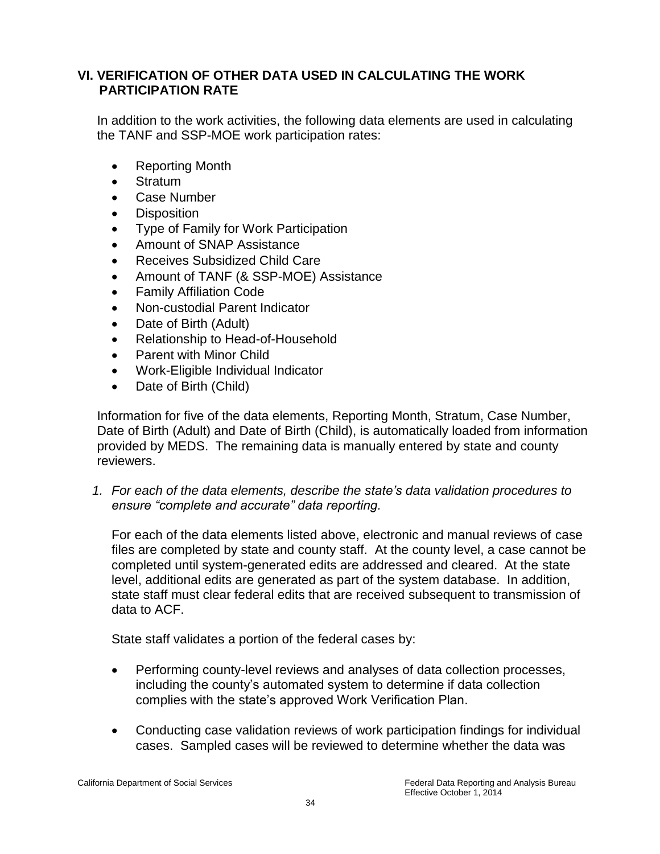# **VI. VERIFICATION OF OTHER DATA USED IN CALCULATING THE WORK PARTICIPATION RATE**

In addition to the work activities, the following data elements are used in calculating the TANF and SSP-MOE work participation rates:

- Reporting Month
- **Stratum**
- Case Number
- **Disposition**
- Type of Family for Work Participation
- Amount of SNAP Assistance
- Receives Subsidized Child Care
- Amount of TANF (& SSP-MOE) Assistance
- Family Affiliation Code
- Non-custodial Parent Indicator
- Date of Birth (Adult)
- Relationship to Head-of-Household
- Parent with Minor Child
- Work-Eligible Individual Indicator
- Date of Birth (Child)

Information for five of the data elements, Reporting Month, Stratum, Case Number, Date of Birth (Adult) and Date of Birth (Child), is automatically loaded from information provided by MEDS. The remaining data is manually entered by state and county reviewers.

*1. For each of the data elements, describe the state's data validation procedures to ensure "complete and accurate" data reporting.*

For each of the data elements listed above, electronic and manual reviews of case files are completed by state and county staff. At the county level, a case cannot be completed until system-generated edits are addressed and cleared. At the state level, additional edits are generated as part of the system database. In addition, state staff must clear federal edits that are received subsequent to transmission of data to ACF.

State staff validates a portion of the federal cases by:

- Performing county-level reviews and analyses of data collection processes, including the county's automated system to determine if data collection complies with the state's approved Work Verification Plan.
- Conducting case validation reviews of work participation findings for individual cases. Sampled cases will be reviewed to determine whether the data was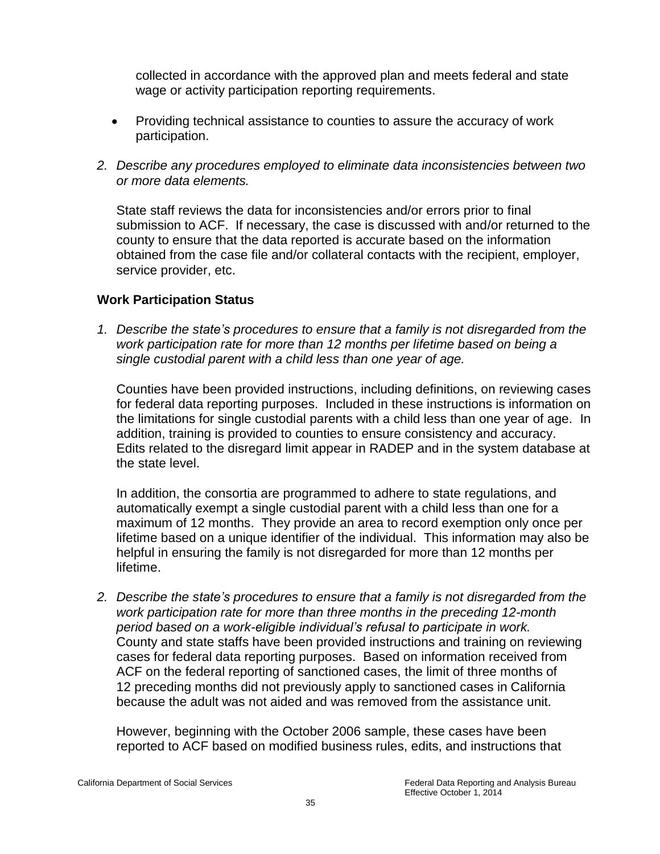collected in accordance with the approved plan and meets federal and state wage or activity participation reporting requirements.

- Providing technical assistance to counties to assure the accuracy of work participation.
- *2. Describe any procedures employed to eliminate data inconsistencies between two or more data elements.*

State staff reviews the data for inconsistencies and/or errors prior to final submission to ACF. If necessary, the case is discussed with and/or returned to the county to ensure that the data reported is accurate based on the information obtained from the case file and/or collateral contacts with the recipient, employer, service provider, etc.

# **Work Participation Status**

*1. Describe the state's procedures to ensure that a family is not disregarded from the work participation rate for more than 12 months per lifetime based on being a single custodial parent with a child less than one year of age.* 

Counties have been provided instructions, including definitions, on reviewing cases for federal data reporting purposes. Included in these instructions is information on the limitations for single custodial parents with a child less than one year of age. In addition, training is provided to counties to ensure consistency and accuracy. Edits related to the disregard limit appear in RADEP and in the system database at the state level.

In addition, the consortia are programmed to adhere to state regulations, and automatically exempt a single custodial parent with a child less than one for a maximum of 12 months. They provide an area to record exemption only once per lifetime based on a unique identifier of the individual. This information may also be helpful in ensuring the family is not disregarded for more than 12 months per lifetime.

*2. Describe the state's procedures to ensure that a family is not disregarded from the work participation rate for more than three months in the preceding 12-month period based on a work-eligible individual's refusal to participate in work.*  County and state staffs have been provided instructions and training on reviewing cases for federal data reporting purposes. Based on information received from ACF on the federal reporting of sanctioned cases, the limit of three months of 12 preceding months did not previously apply to sanctioned cases in California because the adult was not aided and was removed from the assistance unit.

 However, beginning with the October 2006 sample, these cases have been reported to ACF based on modified business rules, edits, and instructions that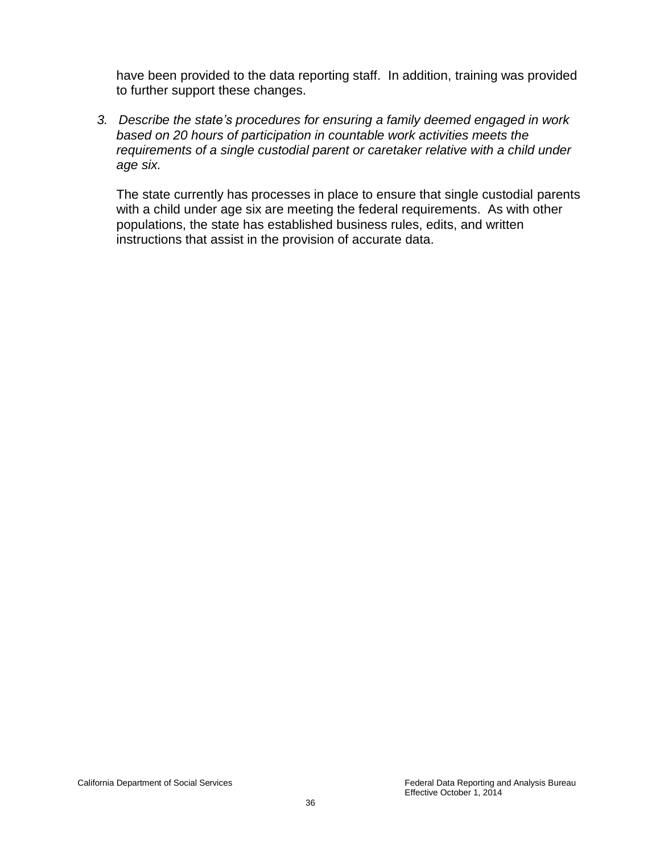have been provided to the data reporting staff. In addition, training was provided to further support these changes.

*3. Describe the state's procedures for ensuring a family deemed engaged in work based on 20 hours of participation in countable work activities meets the requirements of a single custodial parent or caretaker relative with a child under age six.* 

The state currently has processes in place to ensure that single custodial parents with a child under age six are meeting the federal requirements. As with other populations, the state has established business rules, edits, and written instructions that assist in the provision of accurate data.